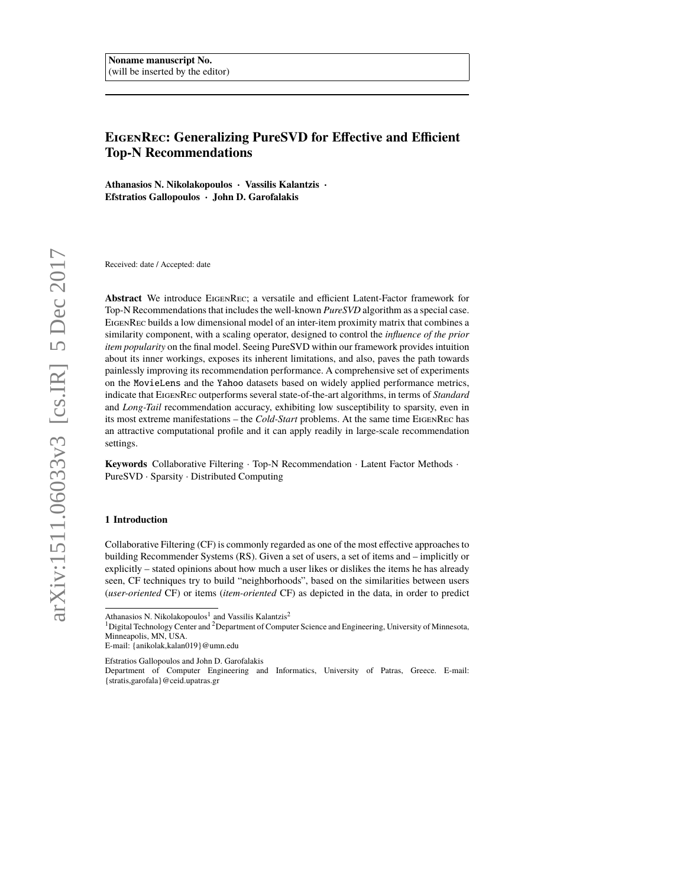# **EigenRec: Generalizing PureSVD for Effective and Efficient Top-N Recommendations**

**Athanasios N. Nikolakopoulos** · **Vassilis Kalantzis** · **Efstratios Gallopoulos** · **John D. Garofalakis**

Received: date / Accepted: date

**Abstract** We introduce EigenRec; a versatile and efficient Latent-Factor framework for Top-N Recommendations that includes the well-known *PureSVD* algorithm as a special case. EigenRec builds a low dimensional model of an inter-item proximity matrix that combines a similarity component, with a scaling operator, designed to control the *influence of the prior item popularity* on the final model. Seeing PureSVD within our framework provides intuition about its inner workings, exposes its inherent limitations, and also, paves the path towards painlessly improving its recommendation performance. A comprehensive set of experiments on the MovieLens and the Yahoo datasets based on widely applied performance metrics, indicate that EigenRec outperforms several state-of-the-art algorithms, in terms of *Standard* and *Long-Tail* recommendation accuracy, exhibiting low susceptibility to sparsity, even in its most extreme manifestations – the *Cold-Start* problems. At the same time EigenRec has an attractive computational profile and it can apply readily in large-scale recommendation settings.

**Keywords** Collaborative Filtering · Top-N Recommendation · Latent Factor Methods · PureSVD · Sparsity · Distributed Computing

#### **1 Introduction**

Collaborative Filtering (CF) is commonly regarded as one of the most effective approaches to building Recommender Systems (RS). Given a set of users, a set of items and – implicitly or explicitly – stated opinions about how much a user likes or dislikes the items he has already seen, CF techniques try to build "neighborhoods", based on the similarities between users (*user-oriented* CF) or items (*item-oriented* CF) as depicted in the data, in order to predict

Athanasios N. Nikolakopoulos<sup>1</sup> and Vassilis Kalantzis<sup>2</sup>

<sup>1&</sup>lt;br><sup>1</sup>Digital Technology Center and <sup>2</sup>Department of Computer Science and Engineering, University of Minnesota, Minneapolis, MN, USA.

E-mail: {anikolak,kalan019}@umn.edu

Efstratios Gallopoulos and John D. Garofalakis

Department of Computer Engineering and Informatics, University of Patras, Greece. E-mail: {stratis,garofala}@ceid.upatras.gr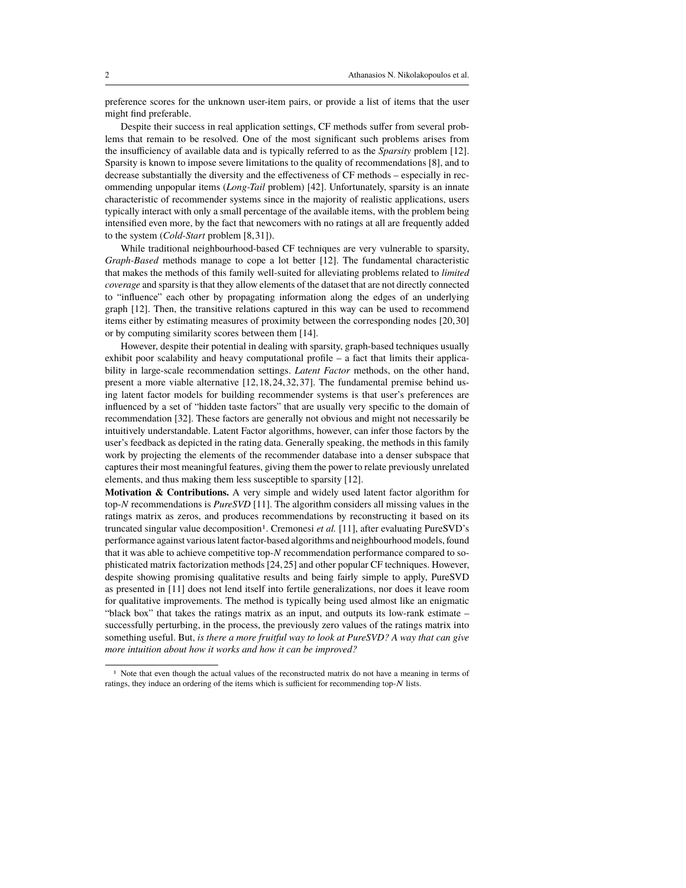preference scores for the unknown user-item pairs, or provide a list of items that the user might find preferable.

Despite their success in real application settings, CF methods suffer from several problems that remain to be resolved. One of the most significant such problems arises from the insufficiency of available data and is typically referred to as the *Sparsity* problem [12]. Sparsity is known to impose severe limitations to the quality of recommendations [8], and to decrease substantially the diversity and the effectiveness of CF methods – especially in recommending unpopular items (*Long-Tail* problem) [42]. Unfortunately, sparsity is an innate characteristic of recommender systems since in the majority of realistic applications, users typically interact with only a small percentage of the available items, with the problem being intensified even more, by the fact that newcomers with no ratings at all are frequently added to the system (*Cold-Start* problem [8, 31]).

While traditional neighbourhood-based CF techniques are very vulnerable to sparsity, *Graph-Based* methods manage to cope a lot better [12]. The fundamental characteristic that makes the methods of this family well-suited for alleviating problems related to *limited coverage* and sparsity is that they allow elements of the dataset that are not directly connected to "influence" each other by propagating information along the edges of an underlying graph [12]. Then, the transitive relations captured in this way can be used to recommend items either by estimating measures of proximity between the corresponding nodes [20, 30] or by computing similarity scores between them [14].

However, despite their potential in dealing with sparsity, graph-based techniques usually exhibit poor scalability and heavy computational profile – a fact that limits their applicability in large-scale recommendation settings. *Latent Factor* methods, on the other hand, present a more viable alternative [12, 18, 24, 32, 37]. The fundamental premise behind using latent factor models for building recommender systems is that user's preferences are influenced by a set of "hidden taste factors" that are usually very specific to the domain of recommendation [32]. These factors are generally not obvious and might not necessarily be intuitively understandable. Latent Factor algorithms, however, can infer those factors by the user's feedback as depicted in the rating data. Generally speaking, the methods in this family work by projecting the elements of the recommender database into a denser subspace that captures their most meaningful features, giving them the power to relate previously unrelated elements, and thus making them less susceptible to sparsity [12].

**Motivation & Contributions.** A very simple and widely used latent factor algorithm for top-*N* recommendations is *PureSVD* [11]. The algorithm considers all missing values in the ratings matrix as zeros, and produces recommendations by reconstructing it based on its truncated singular value decomposition<sup>1</sup>. Cremonesi *et al.* [11], after evaluating PureSVD's performance against various latent factor-based algorithms and neighbourhood models, found that it was able to achieve competitive top-*N* recommendation performance compared to sophisticated matrix factorization methods [24, 25] and other popular CF techniques. However, despite showing promising qualitative results and being fairly simple to apply, PureSVD as presented in [11] does not lend itself into fertile generalizations, nor does it leave room for qualitative improvements. The method is typically being used almost like an enigmatic "black box" that takes the ratings matrix as an input, and outputs its low-rank estimate – successfully perturbing, in the process, the previously zero values of the ratings matrix into something useful. But, *is there a more fruitful way to look at PureSVD? A way that can give more intuition about how it works and how it can be improved?*

<sup>1</sup> Note that even though the actual values of the reconstructed matrix do not have a meaning in terms of ratings, they induce an ordering of the items which is sufficient for recommending top-N lists.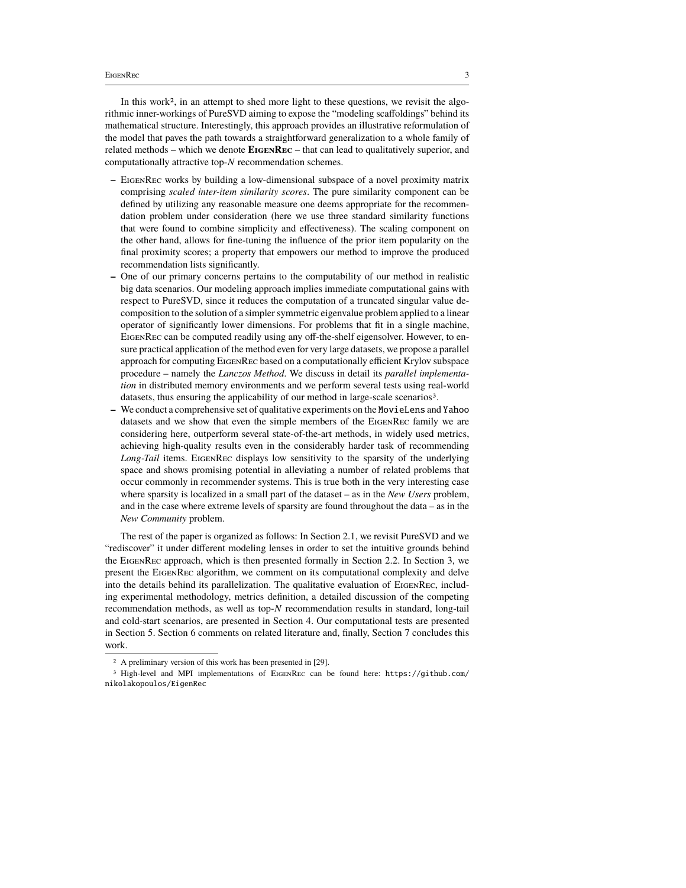In this work<sup>2</sup>, in an attempt to shed more light to these questions, we revisit the algorithmic inner-workings of PureSVD aiming to expose the "modeling scaffoldings" behind its mathematical structure. Interestingly, this approach provides an illustrative reformulation of the model that paves the path towards a straightforward generalization to a whole family of related methods – which we denote **EigenRec** – that can lead to qualitatively superior, and computationally attractive top-*N* recommendation schemes.

- **–** EigenRec works by building a low-dimensional subspace of a novel proximity matrix comprising *scaled inter-item similarity scores*. The pure similarity component can be defined by utilizing any reasonable measure one deems appropriate for the recommendation problem under consideration (here we use three standard similarity functions that were found to combine simplicity and effectiveness). The scaling component on the other hand, allows for fine-tuning the influence of the prior item popularity on the final proximity scores; a property that empowers our method to improve the produced recommendation lists significantly.
- **–** One of our primary concerns pertains to the computability of our method in realistic big data scenarios. Our modeling approach implies immediate computational gains with respect to PureSVD, since it reduces the computation of a truncated singular value decomposition to the solution of a simpler symmetric eigenvalue problem applied to a linear operator of significantly lower dimensions. For problems that fit in a single machine, EigenRec can be computed readily using any off-the-shelf eigensolver. However, to ensure practical application of the method even for very large datasets, we propose a parallel approach for computing EigenRec based on a computationally efficient Krylov subspace procedure – namely the *Lanczos Method*. We discuss in detail its *parallel implementation* in distributed memory environments and we perform several tests using real-world datasets, thus ensuring the applicability of our method in large-scale scenarios<sup>3</sup>.
- **–** We conduct a comprehensive set of qualitative experiments on the MovieLens and Yahoo datasets and we show that even the simple members of the EigenRec family we are considering here, outperform several state-of-the-art methods, in widely used metrics, achieving high-quality results even in the considerably harder task of recommending Long-Tail items. EIGENREC displays low sensitivity to the sparsity of the underlying space and shows promising potential in alleviating a number of related problems that occur commonly in recommender systems. This is true both in the very interesting case where sparsity is localized in a small part of the dataset – as in the *New Users* problem, and in the case where extreme levels of sparsity are found throughout the data – as in the *New Community* problem.

The rest of the paper is organized as follows: In Section 2.1, we revisit PureSVD and we "rediscover" it under different modeling lenses in order to set the intuitive grounds behind the EigenRec approach, which is then presented formally in Section 2.2. In Section 3, we present the EigenRec algorithm, we comment on its computational complexity and delve into the details behind its parallelization. The qualitative evaluation of EigenRec, including experimental methodology, metrics definition, a detailed discussion of the competing recommendation methods, as well as top-*N* recommendation results in standard, long-tail and cold-start scenarios, are presented in Section 4. Our computational tests are presented in Section 5. Section 6 comments on related literature and, finally, Section 7 concludes this work.

<sup>2</sup> A preliminary version of this work has been presented in [29].

<sup>3</sup> High-level and MPI implementations of EigenRec can be found here: https://github.com/ nikolakopoulos/EigenRec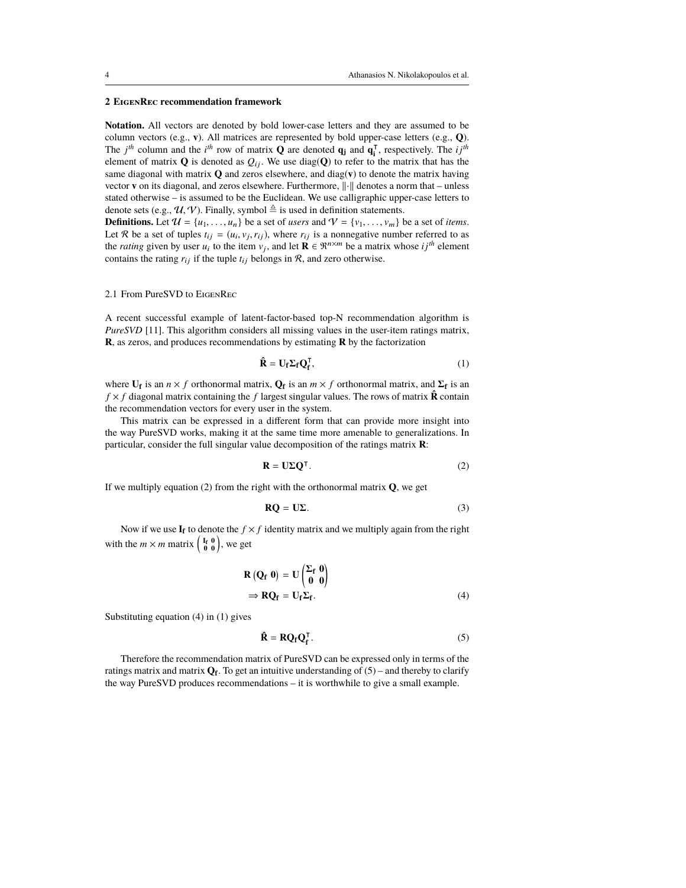## **2 EigenRec recommendation framework**

**Notation.** All vectors are denoted by bold lower-case letters and they are assumed to be column vectors (e.g., **v**). All matrices are represented by bold upper-case letters (e.g., **Q**). The *j*<sup>th</sup> column and the *i*<sup>th</sup> row of matrix **Q** are denoted  $\mathbf{q}_j$  and  $\mathbf{q}_i^T$ , respectively. The *ij*<sup>th</sup> element of matrix **Q** is denoted as  $Q_{ij}$ . We use diag(**Q**) to refer to the matrix that has the same diagonal with matrix  $Q$  and zeros elsewhere, and diag( $v$ ) to denote the matrix having vector **v** on its diagonal, and zeros elsewhere. Furthermore,  $\|\cdot\|$  denotes a norm that – unless stated otherwise – is assumed to be the Euclidean. We use calligraphic upper-case letters to denote sets (e.g.,  $\mathcal{U}, \mathcal{V}$ ). Finally, symbol  $\triangleq$  is used in definition statements.

**Definitions.** Let  $\mathcal{U} = \{u_1, \ldots, u_n\}$  be a set of *users* and  $\mathcal{V} = \{v_1, \ldots, v_m\}$  be a set of *items*. Let R be a set of tuples  $t_{ij} = (u_i, v_j, r_{ij})$ , where  $r_{ij}$  is a nonnegative number referred to as the *rating* given by user  $u_i$  to the item  $v_j$ , and let  $\mathbf{R} \in \mathbb{R}^{n \times m}$  be a matrix whose  $ij^{th}$  element contains the rating  $r_{ij}$  if the tuple  $t_{ij}$  belongs in  $R$ , and zero otherwise.

# 2.1 From PureSVD to EigenRec

A recent successful example of latent-factor-based top-N recommendation algorithm is *PureSVD* [11]. This algorithm considers all missing values in the user-item ratings matrix, **R**, as zeros, and produces recommendations by estimating **R** by the factorization

$$
\hat{\mathbf{R}} = \mathbf{U}_{\mathbf{f}} \Sigma_{\mathbf{f}} \mathbf{Q}_{\mathbf{f}}^{\mathsf{T}},\tag{1}
$$

where  $U_f$  is an  $n \times f$  orthonormal matrix,  $Q_f$  is an  $m \times f$  orthonormal matrix, and  $\Sigma_f$  is an  $f \times f$  diagonal matrix containing the f largest singular values. The rows of matrix  $\hat{\bf R}$  contain the recommendation vectors for every user in the system.

This matrix can be expressed in a different form that can provide more insight into the way PureSVD works, making it at the same time more amenable to generalizations. In particular, consider the full singular value decomposition of the ratings matrix **R**:

$$
\mathbf{R} = \mathbf{U} \Sigma \mathbf{Q}^{\mathsf{T}}.
$$
 (2)

If we multiply equation  $(2)$  from the right with the orthonormal matrix  $Q$ , we get

$$
RQ = U\Sigma.
$$
 (3)

Now if we use  $I_f$  to denote the  $f \times f$  identity matrix and we multiply again from the right with the  $m \times m$  matrix  $\begin{pmatrix} I_f & 0 \\ 0 & 0 \end{pmatrix}$ , we get

$$
\mathbf{R} \left( \mathbf{Q}_{f} \mathbf{0} \right) = \mathbf{U} \begin{pmatrix} \Sigma_{f} & 0 \\ 0 & 0 \end{pmatrix}
$$
  
\n
$$
\Rightarrow \mathbf{R} \mathbf{Q}_{f} = \mathbf{U}_{f} \Sigma_{f}.
$$
 (4)

Substituting equation (4) in (1) gives

$$
\hat{\mathbf{R}} = \mathbf{R} \mathbf{Q}_f \mathbf{Q}_f^{\mathsf{T}}.
$$
 (5)

Therefore the recommendation matrix of PureSVD can be expressed only in terms of the ratings matrix and matrix  $Q_f$ . To get an intuitive understanding of  $(5)$  – and thereby to clarify the way PureSVD produces recommendations – it is worthwhile to give a small example.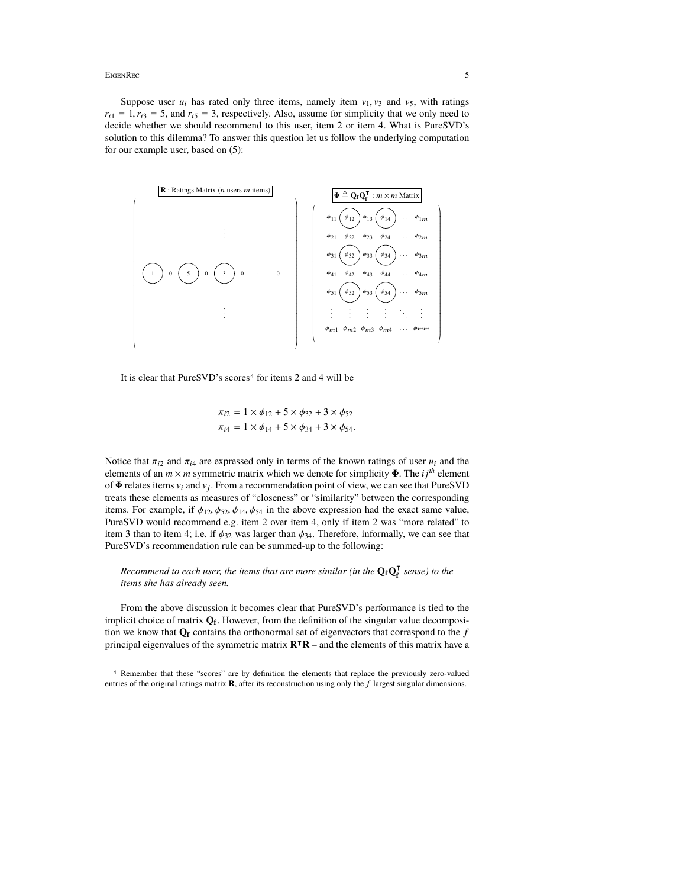Suppose user  $u_i$  has rated only three items, namely item  $v_1, v_3$  and  $v_5$ , with ratings  $r_{i1} = 1, r_{i3} = 5$ , and  $r_{i5} = 3$ , respectively. Also, assume for simplicity that we only need to decide whether we should recommend to this user, item 2 or item 4. What is PureSVD's solution to this dilemma? To answer this question let us follow the underlying computation for our example user, based on (5):



It is clear that PureSVD's scores<sup>4</sup> for items 2 and 4 will be

$$
\pi_{i2} = 1 \times \phi_{12} + 5 \times \phi_{32} + 3 \times \phi_{52}
$$
  

$$
\pi_{i4} = 1 \times \phi_{14} + 5 \times \phi_{34} + 3 \times \phi_{54}.
$$

Notice that  $\pi_{i2}$  and  $\pi_{i4}$  are expressed only in terms of the known ratings of user  $u_i$  and the elements of an  $m \times m$  symmetric matrix which we denote for simplicity  $\Phi$ . The *ij*<sup>th</sup> element of  $\Phi$  relates items  $v_i$  and  $v_j$ . From a recommendation point of view, we can see that PureSVD treats these elements as measures of "closeness" or "similarity" between the corresponding items. For example, if  $\phi_{12}, \phi_{52}, \phi_{14}, \phi_{54}$  in the above expression had the exact same value, PureSVD would recommend e.g. item 2 over item 4, only if item 2 was "more related" to item 3 than to item 4; i.e. if  $\phi_{32}$  was larger than  $\phi_{34}$ . Therefore, informally, we can see that PureSVD's recommendation rule can be summed-up to the following:

 $R$ ecommend to each user, the items that are more similar (in the  $\mathbf{Q_f}\mathbf{Q_f^{\intercal}}$  sense) to the *items she has already seen.*

From the above discussion it becomes clear that PureSVD's performance is tied to the implicit choice of matrix **Q<sup>f</sup>** . However, from the definition of the singular value decomposition we know that  $\mathbf{Q}_f$  contains the orthonormal set of eigenvectors that correspond to the  $f$ principal eigenvalues of the symmetric matrix  $\mathbf{R}^\intercal \mathbf{R}$  – and the elements of this matrix have a

<sup>4</sup> Remember that these "scores" are by definition the elements that replace the previously zero-valued entries of the original ratings matrix **R**, after its reconstruction using only the f largest singular dimensions.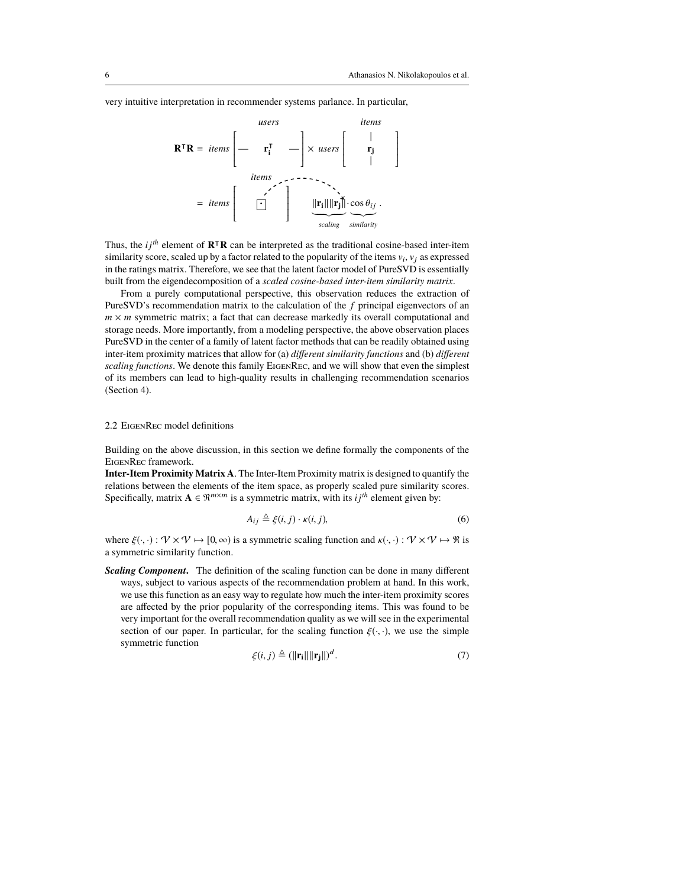very intuitive interpretation in recommender systems parlance. In particular,



Thus, the  $ij^{th}$  element of  $\mathbf{R}^{\mathsf{T}}\mathbf{R}$  can be interpreted as the traditional cosine-based inter-item similarity score, scaled up by a factor related to the popularity of the items  $v_i$ ,  $v_j$  as expressed in the ratings matrix. Therefore, we see that the latent factor model of PureSVD is essentially built from the eigendecomposition of a *scaled cosine-based inter-item similarity matrix*.

From a purely computational perspective, this observation reduces the extraction of PureSVD's recommendation matrix to the calculation of the *f* principal eigenvectors of an  $m \times m$  symmetric matrix; a fact that can decrease markedly its overall computational and storage needs. More importantly, from a modeling perspective, the above observation places PureSVD in the center of a family of latent factor methods that can be readily obtained using inter-item proximity matrices that allow for (a) *different similarity functions* and (b) *different scaling functions*. We denote this family EigenRec, and we will show that even the simplest of its members can lead to high-quality results in challenging recommendation scenarios (Section 4).

2.2 EigenRec model definitions

Building on the above discussion, in this section we define formally the components of the EigenRec framework.

**Inter-Item Proximity Matrix A**. The Inter-Item Proximity matrix is designed to quantify the relations between the elements of the item space, as properly scaled pure similarity scores. Specifically, matrix  $\mathbf{A} \in \mathbb{R}^{m \times m}$  is a symmetric matrix, with its *ij*<sup>*th*</sup> element given by:

$$
A_{ij} \triangleq \xi(i,j) \cdot \kappa(i,j),\tag{6}
$$

where  $\xi(\cdot, \cdot) : \mathcal{V} \times \mathcal{V} \mapsto [0, \infty)$  is a symmetric scaling function and  $\kappa(\cdot, \cdot) : \mathcal{V} \times \mathcal{V} \mapsto \Re$  is a symmetric similarity function.

*Scaling Component***.** The definition of the scaling function can be done in many different ways, subject to various aspects of the recommendation problem at hand. In this work, we use this function as an easy way to regulate how much the inter-item proximity scores are affected by the prior popularity of the corresponding items. This was found to be very important for the overall recommendation quality as we will see in the experimental section of our paper. In particular, for the scaling function  $\xi(\cdot, \cdot)$ , we use the simple symmetric function

$$
\xi(i,j) \triangleq (\|\mathbf{r_i}\| \|\mathbf{r_j}\|)^d. \tag{7}
$$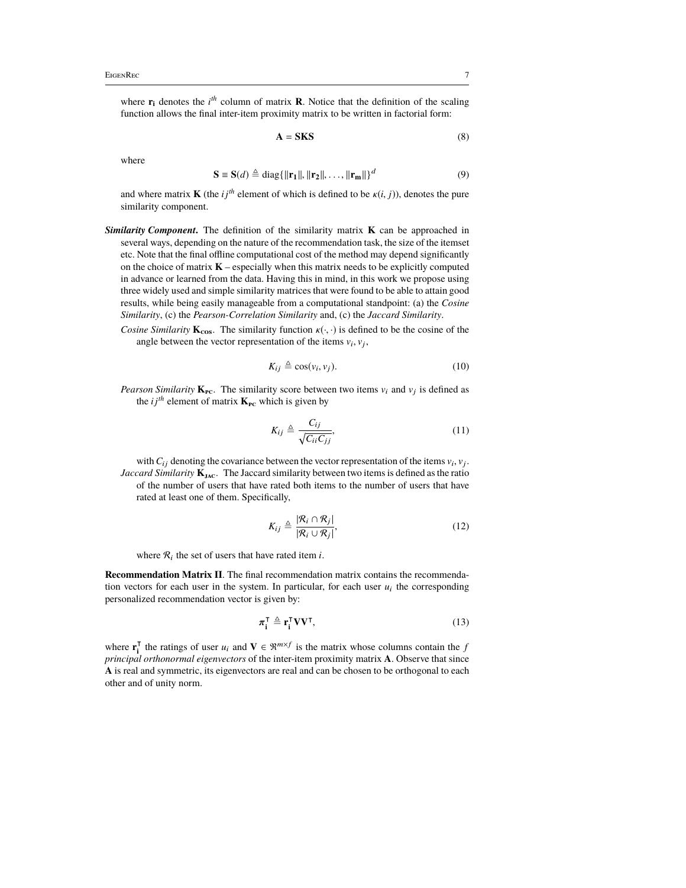where  $\mathbf{r}_i$  denotes the  $i^{th}$  column of matrix **R**. Notice that the definition of the scaling function allows the final inter-item proximity matrix to be written in factorial form:

$$
A = SKS \tag{8}
$$

where

$$
\mathbf{S} \equiv \mathbf{S}(d) \triangleq \text{diag}\{\|\mathbf{r}_1\|, \|\mathbf{r}_2\|, \dots, \|\mathbf{r}_m\|\}^d
$$
(9)

and where matrix **K** (the  $i j<sup>th</sup>$  element of which is defined to be  $\kappa(i, j)$ ), denotes the pure similarity component.

- *Similarity Component***.** The definition of the similarity matrix **K** can be approached in several ways, depending on the nature of the recommendation task, the size of the itemset etc. Note that the final offline computational cost of the method may depend significantly on the choice of matrix  $\mathbf{K}$  – especially when this matrix needs to be explicitly computed in advance or learned from the data. Having this in mind, in this work we propose using three widely used and simple similarity matrices that were found to be able to attain good results, while being easily manageable from a computational standpoint: (a) the *Cosine Similarity*, (c) the *Pearson-Correlation Similarity* and, (c) the *Jaccard Similarity*.
	- *Cosine Similarity*  $\mathbf{K}_{\text{cos}}$ . The similarity function  $\kappa(\cdot, \cdot)$  is defined to be the cosine of the angle between the vector representation of the items  $v_i$ ,  $v_j$ ,

$$
K_{ij} \triangleq \cos(v_i, v_j). \tag{10}
$$

*Pearson Similarity*  $\mathbf{K}_{\text{PC}}$ . The similarity score between two items  $v_i$  and  $v_j$  is defined as the  $ij^{th}$  element of matrix  $\mathbf{K}_{pc}$  which is given by

$$
K_{ij} \triangleq \frac{C_{ij}}{\sqrt{C_{ii}C_{jj}}},\tag{11}
$$

with  $C_{ij}$  denoting the covariance between the vector representation of the items  $v_i$ ,  $v_j$ . *Jaccard Similarity* **Kjac**. The Jaccard similarity between two items is defined as the ratio of the number of users that have rated both items to the number of users that have rated at least one of them. Specifically,

$$
K_{ij} \triangleq \frac{|\mathcal{R}_i \cap \mathcal{R}_j|}{|\mathcal{R}_i \cup \mathcal{R}_j|},\tag{12}
$$

where  $\mathcal{R}_i$  the set of users that have rated item *i*.

**Recommendation Matrix Π**. The final recommendation matrix contains the recommendation vectors for each user in the system. In particular, for each user  $u_i$  the corresponding personalized recommendation vector is given by:

$$
\boldsymbol{\pi}_i^{\mathsf{T}} \triangleq \mathbf{r}_i^{\mathsf{T}} \mathbf{V} \mathbf{V}^{\mathsf{T}},\tag{13}
$$

where  $\mathbf{r}_i^{\mathsf{T}}$  the ratings of user  $u_i$  and  $\mathbf{V} \in \mathbb{R}^{m \times f}$  is the matrix whose columns contain the *f principal orthonormal eigenvectors* of the inter-item proximity matrix **A**. Observe that since **A** is real and symmetric, its eigenvectors are real and can be chosen to be orthogonal to each other and of unity norm.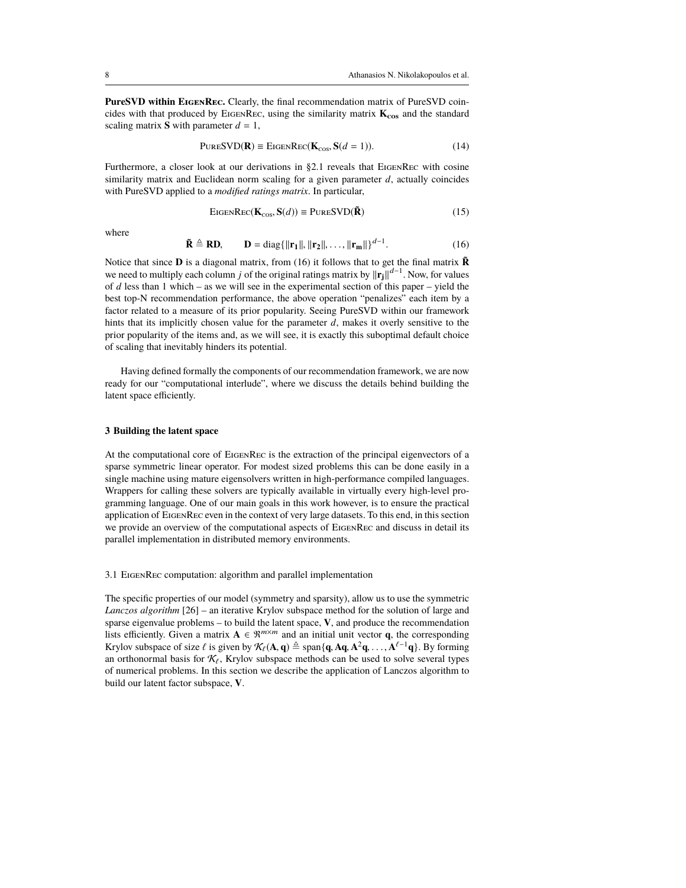**PureSVD within EigenRec.** Clearly, the final recommendation matrix of PureSVD coincides with that produced by EIGENREC, using the similarity matrix  $\mathbf{K}_{\text{cos}}$  and the standard scaling matrix **S** with parameter  $d = 1$ ,

$$
PURESVD(\mathbf{R}) \equiv EIGENRec(\mathbf{K}_{\text{cos}}, \mathbf{S}(d=1)).
$$
\n(14)

Furthermore, a closer look at our derivations in §2.1 reveals that EIGENREC with cosine similarity matrix and Euclidean norm scaling for a given parameter *d*, actually coincides with PureSVD applied to a *modified ratings matrix*. In particular,

$$
EIGENRec(K_{\text{cos}}, S(d)) \equiv PURESVD(\tilde{R})
$$
\n(15)

where

$$
\tilde{\mathbf{R}} \triangleq \mathbf{R} \mathbf{D}, \qquad \mathbf{D} = \text{diag}\{\|\mathbf{r}_1\|, \|\mathbf{r}_2\|, \dots, \|\mathbf{r}_m\|\}^{d-1}.
$$
 (16)

Notice that since **D** is a diagonal matrix, from (16) it follows that to get the final matrix  $\tilde{\mathbf{R}}$ we need to multiply each column *j* of the original ratings matrix by  $\|\mathbf{r}_j\|^{d-1}$ . Now, for values of *d* less than 1 which – as we will see in the experimental section of this paper – yield the best top-N recommendation performance, the above operation "penalizes" each item by a factor related to a measure of its prior popularity. Seeing PureSVD within our framework hints that its implicitly chosen value for the parameter *d*, makes it overly sensitive to the prior popularity of the items and, as we will see, it is exactly this suboptimal default choice of scaling that inevitably hinders its potential.

Having defined formally the components of our recommendation framework, we are now ready for our "computational interlude", where we discuss the details behind building the latent space efficiently.

### **3 Building the latent space**

At the computational core of EigenRec is the extraction of the principal eigenvectors of a sparse symmetric linear operator. For modest sized problems this can be done easily in a single machine using mature eigensolvers written in high-performance compiled languages. Wrappers for calling these solvers are typically available in virtually every high-level programming language. One of our main goals in this work however, is to ensure the practical application of EigenRec even in the context of very large datasets. To this end, in this section we provide an overview of the computational aspects of EigenRec and discuss in detail its parallel implementation in distributed memory environments.

# 3.1 EigenRec computation: algorithm and parallel implementation

The specific properties of our model (symmetry and sparsity), allow us to use the symmetric *Lanczos algorithm* [26] – an iterative Krylov subspace method for the solution of large and sparse eigenvalue problems – to build the latent space, **V**, and produce the recommendation lists efficiently. Given a matrix  $\mathbf{A} \in \mathbb{R}^{m \times m}$  and an initial unit vector **q**, the corresponding Krylov subspace of size  $\ell$  is given by  $\mathcal{K}_{\ell}(\mathbf{A}, \mathbf{q}) \triangleq \text{span}\{\mathbf{q}, \mathbf{A}\mathbf{q}, \mathbf{A}^2\mathbf{q}, \ldots, \mathbf{A}^{\ell-1}\mathbf{q}\}\)$ . By forming an orthonormal basis for  $\mathcal{K}_{\ell}$ , Krylov subspace methods can be used to solve several types of numerical problems. In this section we describe the application of Lanczos algorithm to build our latent factor subspace, **V**.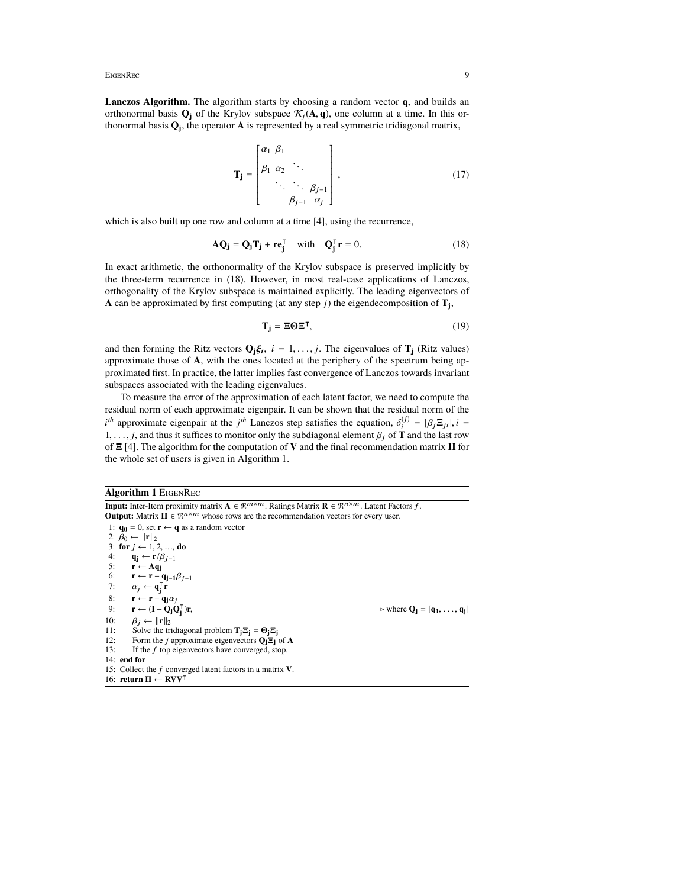**Lanczos Algorithm.** The algorithm starts by choosing a random vector **q**, and builds an orthonormal basis  $Q_i$  of the Krylov subspace  $\mathcal{K}_i(A, q)$ , one column at a time. In this orthonormal basis **Q<sup>j</sup>** , the operator **A** is represented by a real symmetric tridiagonal matrix,

$$
\mathbf{T_j} = \begin{bmatrix} \alpha_1 & \beta_1 & & & \\ \beta_1 & \alpha_2 & \ddots & & \\ & \ddots & \ddots & \beta_{j-1} \\ & & \beta_{j-1} & \alpha_j \end{bmatrix},
$$
(17)

which is also built up one row and column at a time [4], using the recurrence,

$$
AQ_j = Q_jT_j + re_j^T \quad \text{with} \quad Q_j^T r = 0. \tag{18}
$$

In exact arithmetic, the orthonormality of the Krylov subspace is preserved implicitly by the three-term recurrence in (18). However, in most real-case applications of Lanczos, orthogonality of the Krylov subspace is maintained explicitly. The leading eigenvectors of **A** can be approximated by first computing (at any step *j*) the eigendecomposition of **T<sup>j</sup>** ,

$$
\mathbf{T}_{\mathbf{j}} = \mathbf{\Xi} \mathbf{\Theta} \mathbf{\Xi}^{\mathsf{T}},\tag{19}
$$

and then forming the Ritz vectors  $Q_j \xi_i$ ,  $i = 1, \ldots, j$ . The eigenvalues of  $T_j$  (Ritz values) approximate those of **A**, with the ones located at the periphery of the spectrum being approximated first. In practice, the latter implies fast convergence of Lanczos towards invariant subspaces associated with the leading eigenvalues.

To measure the error of the approximation of each latent factor, we need to compute the residual norm of each approximate eigenpair. It can be shown that the residual norm of the  $i^{th}$  approximate eigenpair at the  $j^{th}$  Lanczos step satisfies the equation,  $\delta_i^{(j)} = |\beta_j \Xi_{ji}|$ ,  $i =$ 1, . . . , *j*, and thus it suffices to monitor only the subdiagonal element  $\beta_i$  of **T** and the last row of **Ξ** [4]. The algorithm for the computation of **V** and the final recommendation matrix **Π** for the whole set of users is given in Algorithm 1.

#### **Algorithm 1** EigenRec

**Input:** Inter-Item proximity matrix  $\mathbf{A} \in \mathbb{R}^{m \times m}$ . Ratings Matrix  $\mathbf{R} \in \mathbb{R}^{n \times m}$ . Latent Factors f.

**Output:** Matrix  $\mathbf{\Pi} \in \mathbb{R}^{n \times m}$  whose rows are the recommendation vectors for every user. 1:  $\mathbf{q_0} = 0$ , set  $\mathbf{r} \leftarrow \mathbf{q}$  as a random vector 2:  $\beta_0 \leftarrow ||\mathbf{r}||_2$ 3: **for**  $j \leftarrow 1, 2, ...,$  **do**<br>4: **q<sub>i</sub>** $\leftarrow$  **r**/ $\beta_{j-1}$ 4:  $\mathbf{q}_j \leftarrow \mathbf{r}/\beta_{j-1}$ <br>5:  $\mathbf{r} \leftarrow \mathbf{A}\mathbf{q}$ 5:  $\mathbf{r} \leftarrow \mathbf{A}\mathbf{q_j}$ <br>6:  $\mathbf{r} \leftarrow \mathbf{r} - \mathbf{q_j}$ 6:  $\mathbf{r} \leftarrow \mathbf{r} - \mathbf{q_{j-1}}\beta_{j-1}$ <br>7:  $\alpha_i \leftarrow \mathbf{q}_i^{\mathsf{T}}\mathbf{r}$ 7:  $\alpha_j \leftarrow \mathbf{q}_j^{\mathsf{T}} \mathbf{r}$ 8: **r** ← **r** − **q**<sub>j</sub> $\alpha_j$ <br>9: **r** ← **(I** − **Q**<sub>j</sub>**C** 9: **r** ← (**I** − **QjQ** | **j**  $\triangleright$  where  $Q_j = [q_1, \ldots, q_j]$ 10:  $\beta_j \leftarrow ||\mathbf{r}||_2$ <br>11: Solve the tr. 11: Solve the tridiagonal problem  $\mathbf{T}_j \mathbf{\Xi}_j = \mathbf{\Theta}_j \mathbf{\Xi}_j$ <br>12: Form the *i* approximate eigenvectors  $\mathbf{\Omega} \mathbf{\Xi}_i$ . 12: Form the *j* approximate eigenvectors  $\mathbf{Q}_j \mathbf{\Xi}_j$  of **A** 13: If the *f* top eigenvectors have converged, stop. If the  $f$  top eigenvectors have converged, stop. 14: **end for** 15: Collect the f converged latent factors in a matrix **V**.  $16:$  **return Π** ← **RVV**<sup>T</sup>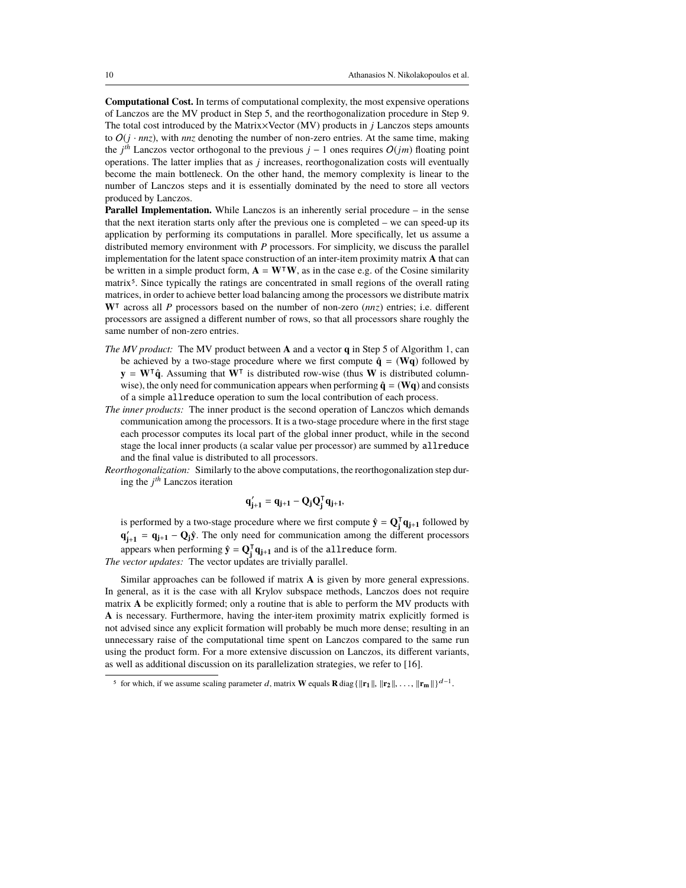**Computational Cost.** In terms of computational complexity, the most expensive operations of Lanczos are the MV product in Step 5, and the reorthogonalization procedure in Step 9. The total cost introduced by the Matrix×Vector (MV) products in *j* Lanczos steps amounts to  $O(j \cdot nnz)$ , with *nnz* denoting the number of non-zero entries. At the same time, making the  $j<sup>th</sup>$  Lanczos vector orthogonal to the previous  $j - 1$  ones requires  $O(jm)$  floating point operations. The latter implies that as *j* increases, reorthogonalization costs will eventually become the main bottleneck. On the other hand, the memory complexity is linear to the number of Lanczos steps and it is essentially dominated by the need to store all vectors produced by Lanczos.

**Parallel Implementation.** While Lanczos is an inherently serial procedure – in the sense that the next iteration starts only after the previous one is completed – we can speed-up its application by performing its computations in parallel. More specifically, let us assume a distributed memory environment with *P* processors. For simplicity, we discuss the parallel implementation for the latent space construction of an inter-item proximity matrix **A** that can be written in a simple product form,  $\mathbf{A} = \mathbf{W}^{\mathsf{T}} \mathbf{W}$ , as in the case e.g. of the Cosine similarity matrix5. Since typically the ratings are concentrated in small regions of the overall rating matrices, in order to achieve better load balancing among the processors we distribute matrix W<sup>T</sup> across all *P* processors based on the number of non-zero (*nnz*) entries; i.e. different processors are assigned a different number of rows, so that all processors share roughly the same number of non-zero entries.

- *The MV product:* The MV product between **A** and a vector **q** in Step 5 of Algorithm 1, can be achieved by a two-stage procedure where we first compute  $\hat{\mathbf{q}} = (\mathbf{W}\mathbf{q})$  followed by  $\mathbf{y} = \mathbf{W}^{\mathsf{T}}\hat{\mathbf{q}}$ . Assuming that  $\mathbf{W}^{\mathsf{T}}$  is distributed row-wise (thus  $\mathbf{W}$  is distributed columnwise), the only need for communication appears when performing  $\hat{\mathbf{q}} = (\mathbf{W}\mathbf{q})$  and consists of a simple allreduce operation to sum the local contribution of each process.
- *The inner products:* The inner product is the second operation of Lanczos which demands communication among the processors. It is a two-stage procedure where in the first stage each processor computes its local part of the global inner product, while in the second stage the local inner products (a scalar value per processor) are summed by allreduce and the final value is distributed to all processors.
- *Reorthogonalization:* Similarly to the above computations, the reorthogonalization step during the *j th* Lanczos iteration

$$
q'_{j+1} = q_{j+1} - Q_j Q_j^\mathsf{T} q_{j+1},
$$

is performed by a two-stage procedure where we first compute  $\hat{y} = Q_j^T q_{j+1}$  followed by  $\mathbf{q}'_{j+1} = \mathbf{q}_{j+1} - \mathbf{Q}_j \hat{\mathbf{y}}$ . The only need for communication among the different processors appears when performing  $\hat{\mathbf{y}} = \mathbf{Q}_j^T \mathbf{q}_{j+1}$  and is of the allreduce form.

*The vector updates:* The vector updates are trivially parallel.

Similar approaches can be followed if matrix **A** is given by more general expressions. In general, as it is the case with all Krylov subspace methods, Lanczos does not require matrix **A** be explicitly formed; only a routine that is able to perform the MV products with **A** is necessary. Furthermore, having the inter-item proximity matrix explicitly formed is not advised since any explicit formation will probably be much more dense; resulting in an unnecessary raise of the computational time spent on Lanczos compared to the same run using the product form. For a more extensive discussion on Lanczos, its different variants, as well as additional discussion on its parallelization strategies, we refer to [16].

<sup>5</sup> for which, if we assume scaling parameter d, matrix **W** equals **R** diag{  $\|\mathbf{r}_1\|$ ,  $\|\mathbf{r}_2\|$ , ...,  $\|\mathbf{r}_m\|$  }<sup>d-1</sup>.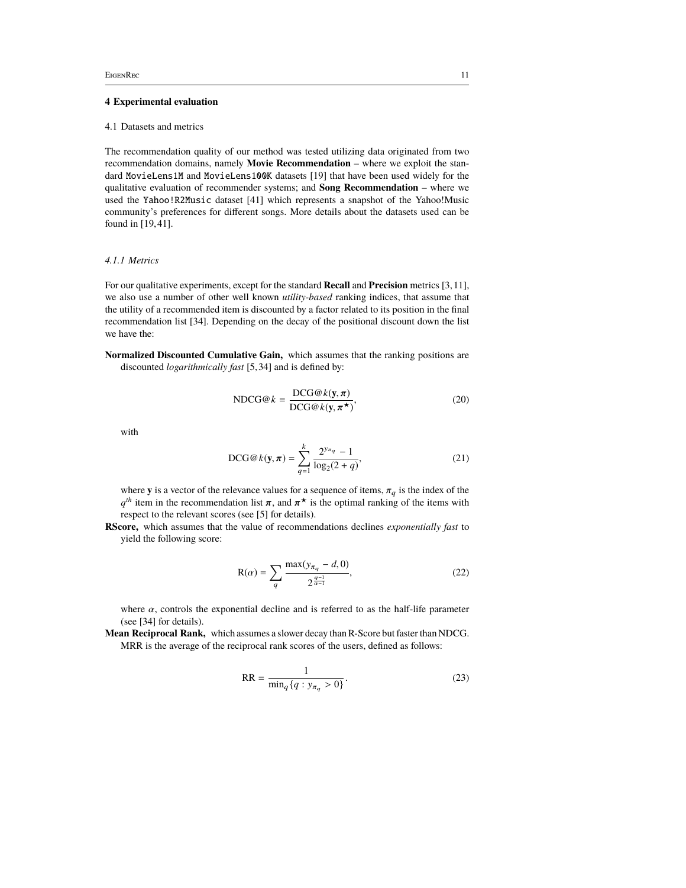#### **4 Experimental evaluation**

#### 4.1 Datasets and metrics

The recommendation quality of our method was tested utilizing data originated from two recommendation domains, namely **Movie Recommendation** – where we exploit the standard MovieLens1M and MovieLens100K datasets [19] that have been used widely for the qualitative evaluation of recommender systems; and **Song Recommendation** – where we used the Yahoo!R2Music dataset [41] which represents a snapshot of the Yahoo!Music community's preferences for different songs. More details about the datasets used can be found in [19, 41].

### *4.1.1 Metrics*

For our qualitative experiments, except for the standard **Recall** and **Precision** metrics [3, 11], we also use a number of other well known *utility-based* ranking indices, that assume that the utility of a recommended item is discounted by a factor related to its position in the final recommendation list [34]. Depending on the decay of the positional discount down the list we have the:

**Normalized Discounted Cumulative Gain,** which assumes that the ranking positions are discounted *logarithmically fast* [5, 34] and is defined by:

$$
NDCG@k = \frac{DCG@k(\mathbf{y}, \pi)}{DCG@k(\mathbf{y}, \pi^{\star})},
$$
\n(20)

with

DCG@
$$
k(\mathbf{y}, \boldsymbol{\pi}) = \sum_{q=1}^{k} \frac{2^{y_{\pi_q}} - 1}{\log_2(2+q)},
$$
 (21)

where **y** is a vector of the relevance values for a sequence of items,  $\pi_q$  is the index of the  $q^{th}$  item in the recommendation list  $\pi$ , and  $\pi^*$  is the optimal ranking of the items with respect to the relevant scores (see [5] for details).

**RScore,** which assumes that the value of recommendations declines *exponentially fast* to yield the following score:

$$
R(\alpha) = \sum_{q} \frac{\max(y_{\pi_q} - d, 0)}{2^{\frac{q-1}{\alpha-1}}},
$$
\n(22)

where  $\alpha$ , controls the exponential decline and is referred to as the half-life parameter (see [34] for details).

**Mean Reciprocal Rank,** which assumes a slower decay than R-Score but faster than NDCG. MRR is the average of the reciprocal rank scores of the users, defined as follows:

$$
RR = \frac{1}{\min_{q} \{q : y_{\pi_q} > 0\}}.
$$
 (23)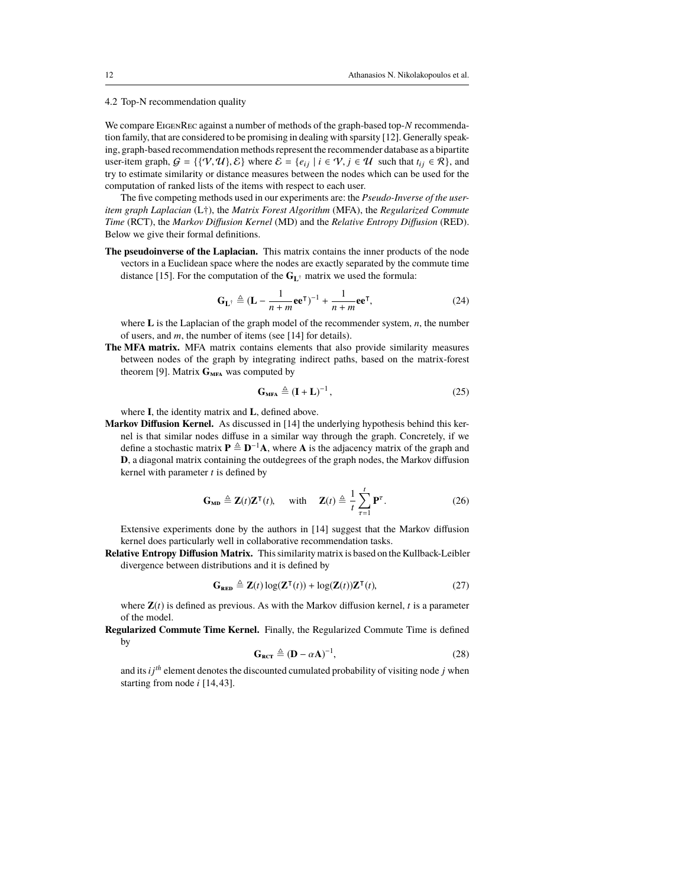4.2 Top-N recommendation quality

We compare EigenRec against a number of methods of the graph-based top-*N* recommendation family, that are considered to be promising in dealing with sparsity [12]. Generally speaking, graph-based recommendation methods represent the recommender database as a bipartite user-item graph,  $G = \{ \{V, \mathcal{U}\}, \mathcal{E} \}$  where  $\mathcal{E} = \{e_{ij} | i \in V, j \in \mathcal{U} \}$  such that  $t_{ij} \in \mathcal{R} \}$ , and try to estimate similarity or distance measures between the nodes which can be used for the computation of ranked lists of the items with respect to each user.

The five competing methods used in our experiments are: the *Pseudo-Inverse of the useritem graph Laplacian* (L†), the *Matrix Forest Algorithm* (MFA), the *Regularized Commute Time* (RCT), the *Markov Diffusion Kernel* (MD) and the *Relative Entropy Diffusion* (RED). Below we give their formal definitions.

**The pseudoinverse of the Laplacian.** This matrix contains the inner products of the node vectors in a Euclidean space where the nodes are exactly separated by the commute time distance [15]. For the computation of the **GL**† matrix we used the formula:

$$
\mathbf{G}_{\mathbf{L}^{\dagger}} \triangleq (\mathbf{L} - \frac{1}{n+m} \mathbf{e} \mathbf{e}^{\mathsf{T}})^{-1} + \frac{1}{n+m} \mathbf{e} \mathbf{e}^{\mathsf{T}},
$$
 (24)

where **L** is the Laplacian of the graph model of the recommender system,  $n$ , the number of users, and *m*, the number of items (see [14] for details).

**The MFA matrix.** MFA matrix contains elements that also provide similarity measures between nodes of the graph by integrating indirect paths, based on the matrix-forest theorem [9]. Matrix  $G_{MFA}$  was computed by

$$
\mathbf{G}_{\mathbf{MFA}} \triangleq (\mathbf{I} + \mathbf{L})^{-1},\tag{25}
$$

where **I**, the identity matrix and **L**, defined above.

**Markov Diffusion Kernel.** As discussed in [14] the underlying hypothesis behind this kernel is that similar nodes diffuse in a similar way through the graph. Concretely, if we define a stochastic matrix  $P \triangleq D^{-1}A$ , where A is the adjacency matrix of the graph and **D**, a diagonal matrix containing the outdegrees of the graph nodes, the Markov diffusion kernel with parameter *t* is defined by

$$
\mathbf{G}_{\mathbf{M}\mathbf{D}} \triangleq \mathbf{Z}(t)\mathbf{Z}^{\mathsf{T}}(t), \quad \text{with} \quad \mathbf{Z}(t) \triangleq \frac{1}{t} \sum_{\tau=1}^{t} \mathbf{P}^{\tau}.
$$
 (26)

Extensive experiments done by the authors in [14] suggest that the Markov diffusion kernel does particularly well in collaborative recommendation tasks.

**Relative Entropy Diffusion Matrix.** This similarity matrix is based on the Kullback-Leibler divergence between distributions and it is defined by

$$
\mathbf{G}_{\text{RED}} \triangleq \mathbf{Z}(t) \log(\mathbf{Z}^{\mathsf{T}}(t)) + \log(\mathbf{Z}(t)) \mathbf{Z}^{\mathsf{T}}(t),
$$
\n(27)

where **Z**(*t*) is defined as previous. As with the Markov diffusion kernel, *t* is a parameter of the model.

**Regularized Commute Time Kernel.** Finally, the Regularized Commute Time is defined by

$$
\mathbf{G}_{\text{RCT}} \triangleq (\mathbf{D} - \alpha \mathbf{A})^{-1},\tag{28}
$$

and its  $ij^{th}$  element denotes the discounted cumulated probability of visiting node  $j$  when starting from node *i* [14, 43].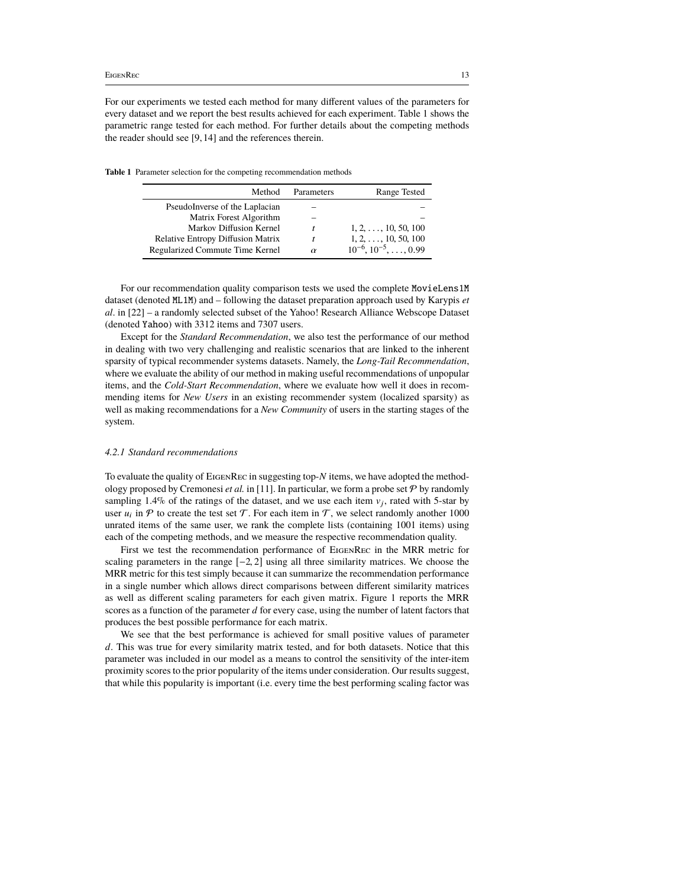For our experiments we tested each method for many different values of the parameters for every dataset and we report the best results achieved for each experiment. Table 1 shows the parametric range tested for each method. For further details about the competing methods the reader should see [9, 14] and the references therein.

**Table 1** Parameter selection for the competing recommendation methods

| Method                                   | Parameters | Range Tested                   |
|------------------------------------------|------------|--------------------------------|
| PseudoInverse of the Laplacian           |            |                                |
| Matrix Forest Algorithm                  |            |                                |
| Markov Diffusion Kernel                  |            | $1, 2, \ldots, 10, 50, 100$    |
| <b>Relative Entropy Diffusion Matrix</b> |            | $1, 2, \ldots, 10, 50, 100$    |
| Regularized Commute Time Kernel          | $\alpha$   | $10^{-6}$ , $10^{-5}$ , , 0.99 |

For our recommendation quality comparison tests we used the complete MovieLens1M dataset (denoted ML1M) and – following the dataset preparation approach used by Karypis *et al*. in [22] – a randomly selected subset of the Yahoo! Research Alliance Webscope Dataset (denoted Yahoo) with 3312 items and 7307 users.

Except for the *Standard Recommendation*, we also test the performance of our method in dealing with two very challenging and realistic scenarios that are linked to the inherent sparsity of typical recommender systems datasets. Namely, the *Long-Tail Recommendation*, where we evaluate the ability of our method in making useful recommendations of unpopular items, and the *Cold-Start Recommendation*, where we evaluate how well it does in recommending items for *New Users* in an existing recommender system (localized sparsity) as well as making recommendations for a *New Community* of users in the starting stages of the system.

### *4.2.1 Standard recommendations*

To evaluate the quality of EigenRec in suggesting top-*N* items, we have adopted the methodology proposed by Cremonesi *et al.* in [11]. In particular, we form a probe set  $P$  by randomly sampling 1.4% of the ratings of the dataset, and we use each item  $v_j$ , rated with 5-star by user  $u_i$  in  $P$  to create the test set  $T$ . For each item in  $T$ , we select randomly another 1000 unrated items of the same user, we rank the complete lists (containing 1001 items) using each of the competing methods, and we measure the respective recommendation quality.

First we test the recommendation performance of EIGENREC in the MRR metric for scaling parameters in the range [−2, 2] using all three similarity matrices. We choose the MRR metric for this test simply because it can summarize the recommendation performance in a single number which allows direct comparisons between different similarity matrices as well as different scaling parameters for each given matrix. Figure 1 reports the MRR scores as a function of the parameter *d* for every case, using the number of latent factors that produces the best possible performance for each matrix.

We see that the best performance is achieved for small positive values of parameter *d*. This was true for every similarity matrix tested, and for both datasets. Notice that this parameter was included in our model as a means to control the sensitivity of the inter-item proximity scores to the prior popularity of the items under consideration. Our results suggest, that while this popularity is important (i.e. every time the best performing scaling factor was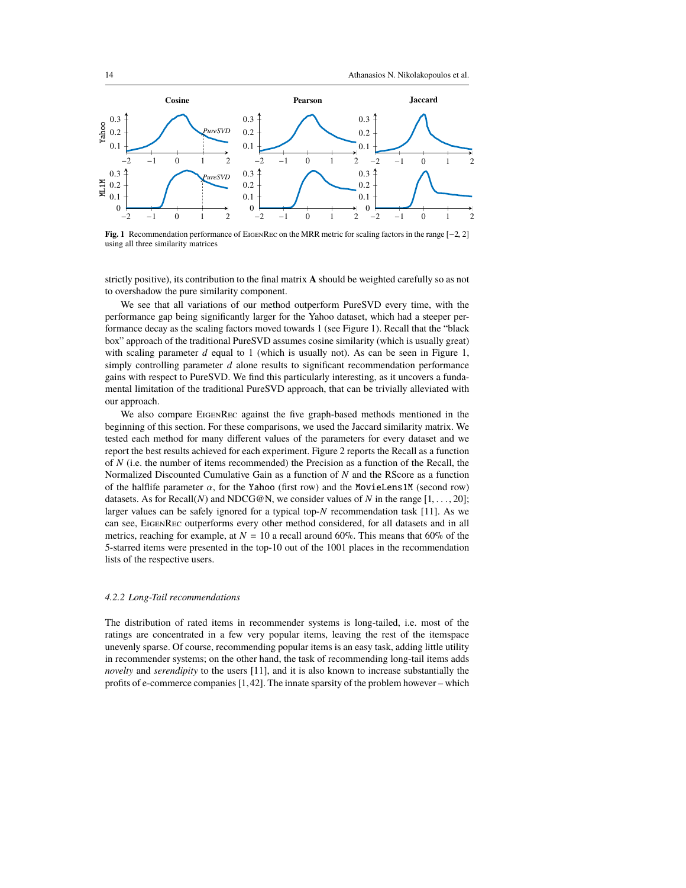

**Fig. 1** Recommendation performance of EigenRec on the MRR metric for scaling factors in the range [−2, 2] using all three similarity matrices

strictly positive), its contribution to the final matrix **A** should be weighted carefully so as not to overshadow the pure similarity component.

We see that all variations of our method outperform PureSVD every time, with the performance gap being significantly larger for the Yahoo dataset, which had a steeper performance decay as the scaling factors moved towards 1 (see Figure 1). Recall that the "black box" approach of the traditional PureSVD assumes cosine similarity (which is usually great) with scaling parameter  $d$  equal to 1 (which is usually not). As can be seen in Figure 1, simply controlling parameter *d* alone results to significant recommendation performance gains with respect to PureSVD. We find this particularly interesting, as it uncovers a fundamental limitation of the traditional PureSVD approach, that can be trivially alleviated with our approach.

We also compare EigenRec against the five graph-based methods mentioned in the beginning of this section. For these comparisons, we used the Jaccard similarity matrix. We tested each method for many different values of the parameters for every dataset and we report the best results achieved for each experiment. Figure 2 reports the Recall as a function of *N* (i.e. the number of items recommended) the Precision as a function of the Recall, the Normalized Discounted Cumulative Gain as a function of *N* and the RScore as a function of the halflife parameter  $\alpha$ , for the Yahoo (first row) and the MovieLens1M (second row) datasets. As for Recall(*N*) and NDCG@N, we consider values of *N* in the range  $[1, \ldots, 20]$ ; larger values can be safely ignored for a typical top-*N* recommendation task [11]. As we can see, EigenRec outperforms every other method considered, for all datasets and in all metrics, reaching for example, at  $N = 10$  a recall around 60%. This means that 60% of the 5-starred items were presented in the top-10 out of the 1001 places in the recommendation lists of the respective users.

#### *4.2.2 Long-Tail recommendations*

The distribution of rated items in recommender systems is long-tailed, i.e. most of the ratings are concentrated in a few very popular items, leaving the rest of the itemspace unevenly sparse. Of course, recommending popular items is an easy task, adding little utility in recommender systems; on the other hand, the task of recommending long-tail items adds *novelty* and *serendipity* to the users [11], and it is also known to increase substantially the profits of e-commerce companies [1, 42]. The innate sparsity of the problem however – which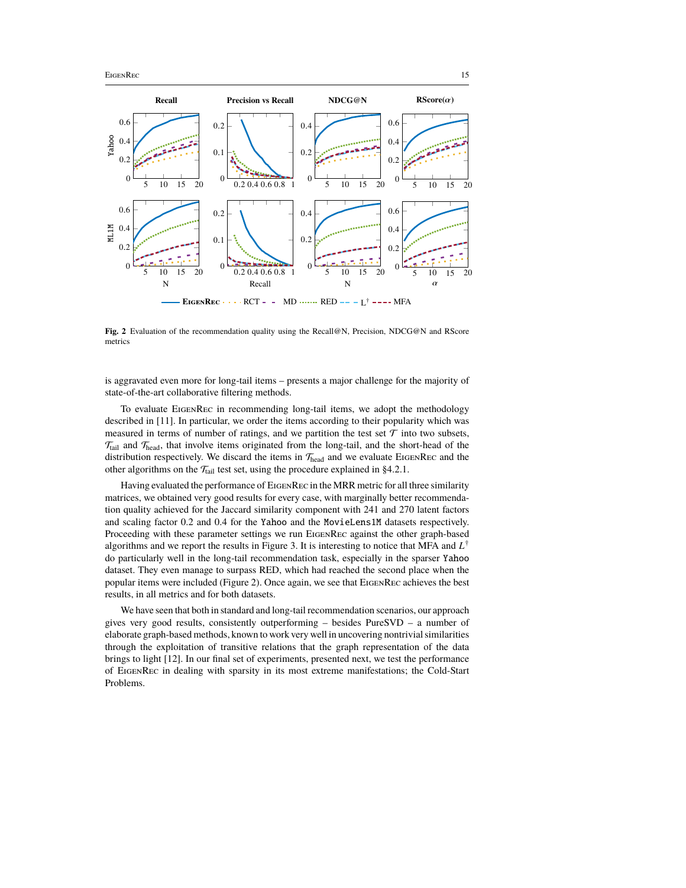

**Fig. 2** Evaluation of the recommendation quality using the Recall@N, Precision, NDCG@N and RScore metrics

is aggravated even more for long-tail items – presents a major challenge for the majority of state-of-the-art collaborative filtering methods.

To evaluate EigenRec in recommending long-tail items, we adopt the methodology described in [11]. In particular, we order the items according to their popularity which was measured in terms of number of ratings, and we partition the test set  $\mathcal T$  into two subsets,  $\mathcal{T}_{\text{tail}}$  and  $\mathcal{T}_{\text{head}}$ , that involve items originated from the long-tail, and the short-head of the distribution respectively. We discard the items in  $\mathcal{T}_{head}$  and we evaluate EIGENREC and the other algorithms on the  $\mathcal{T}_{tail}$  test set, using the procedure explained in §4.2.1.

Having evaluated the performance of EigenRec in the MRR metric for all three similarity matrices, we obtained very good results for every case, with marginally better recommendation quality achieved for the Jaccard similarity component with 241 and 270 latent factors and scaling factor 0.2 and 0.4 for the Yahoo and the MovieLens1M datasets respectively. Proceeding with these parameter settings we run EigenRec against the other graph-based algorithms and we report the results in Figure 3. It is interesting to notice that MFA and  $L^{\dagger}$ do particularly well in the long-tail recommendation task, especially in the sparser Yahoo dataset. They even manage to surpass RED, which had reached the second place when the popular items were included (Figure 2). Once again, we see that EigenRec achieves the best results, in all metrics and for both datasets.

We have seen that both in standard and long-tail recommendation scenarios, our approach gives very good results, consistently outperforming – besides PureSVD – a number of elaborate graph-based methods, known to work very well in uncovering nontrivial similarities through the exploitation of transitive relations that the graph representation of the data brings to light [12]. In our final set of experiments, presented next, we test the performance of EigenRec in dealing with sparsity in its most extreme manifestations; the Cold-Start Problems.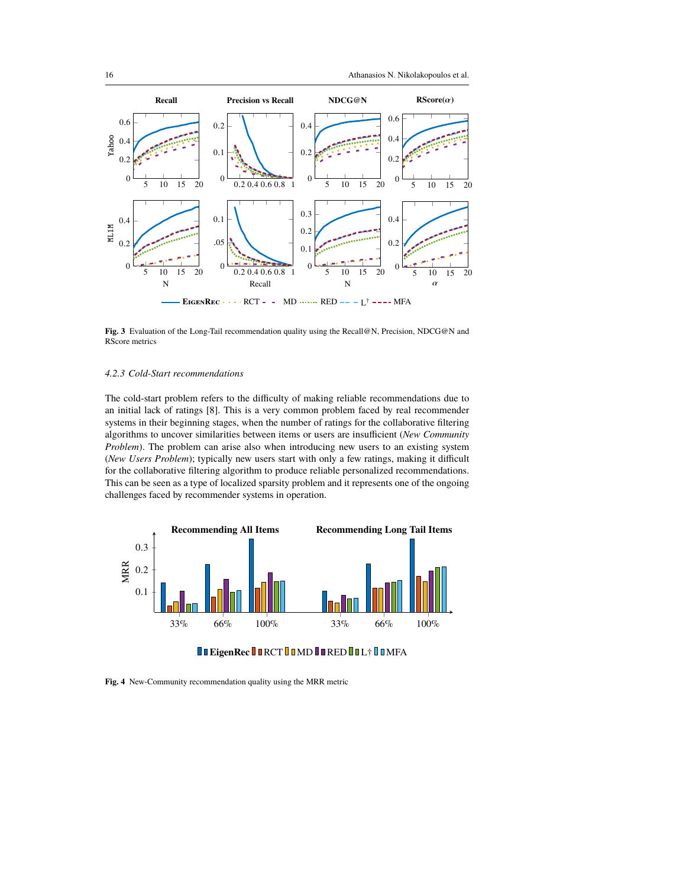

**Fig. 3** Evaluation of the Long-Tail recommendation quality using the Recall@N, Precision, NDCG@N and RScore metrics

# *4.2.3 Cold-Start recommendations*

The cold-start problem refers to the difficulty of making reliable recommendations due to an initial lack of ratings [8]. This is a very common problem faced by real recommender systems in their beginning stages, when the number of ratings for the collaborative filtering algorithms to uncover similarities between items or users are insufficient (*New Community Problem*). The problem can arise also when introducing new users to an existing system (*New Users Problem*); typically new users start with only a few ratings, making it difficult for the collaborative filtering algorithm to produce reliable personalized recommendations. This can be seen as a type of localized sparsity problem and it represents one of the ongoing challenges faced by recommender systems in operation.



**EigenRec RCT BUMD BURED BUL† BUMFA** 

**Fig. 4** New-Community recommendation quality using the MRR metric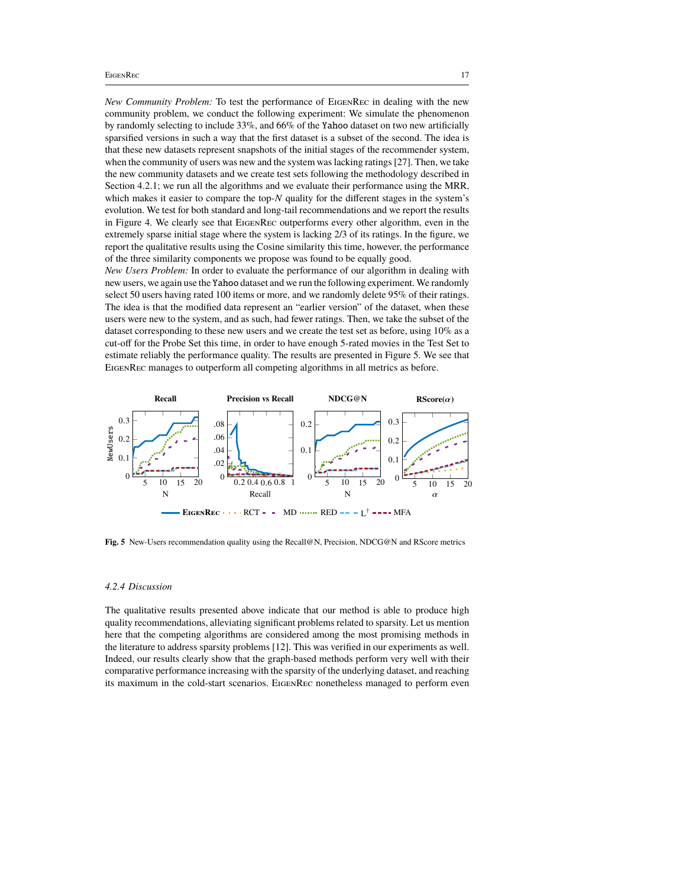*New Community Problem:* To test the performance of EIGENREC in dealing with the new community problem, we conduct the following experiment: We simulate the phenomenon by randomly selecting to include 33%, and 66% of the Yahoo dataset on two new artificially sparsified versions in such a way that the first dataset is a subset of the second. The idea is that these new datasets represent snapshots of the initial stages of the recommender system, when the community of users was new and the system was lacking ratings [27]. Then, we take the new community datasets and we create test sets following the methodology described in Section 4.2.1; we run all the algorithms and we evaluate their performance using the MRR, which makes it easier to compare the top- $N$  quality for the different stages in the system's evolution. We test for both standard and long-tail recommendations and we report the results in Figure 4. We clearly see that EigenRec outperforms every other algorithm, even in the extremely sparse initial stage where the system is lacking 2/3 of its ratings. In the figure, we report the qualitative results using the Cosine similarity this time, however, the performance of the three similarity components we propose was found to be equally good.

*New Users Problem:* In order to evaluate the performance of our algorithm in dealing with new users, we again use the Yahoo dataset and we run the following experiment. We randomly select 50 users having rated 100 items or more, and we randomly delete 95% of their ratings. The idea is that the modified data represent an "earlier version" of the dataset, when these users were new to the system, and as such, had fewer ratings. Then, we take the subset of the dataset corresponding to these new users and we create the test set as before, using 10% as a cut-off for the Probe Set this time, in order to have enough 5-rated movies in the Test Set to estimate reliably the performance quality. The results are presented in Figure 5. We see that EigenRec manages to outperform all competing algorithms in all metrics as before.



**Fig. 5** New-Users recommendation quality using the Recall@N, Precision, NDCG@N and RScore metrics

# *4.2.4 Discussion*

The qualitative results presented above indicate that our method is able to produce high quality recommendations, alleviating significant problems related to sparsity. Let us mention here that the competing algorithms are considered among the most promising methods in the literature to address sparsity problems [12]. This was verified in our experiments as well. Indeed, our results clearly show that the graph-based methods perform very well with their comparative performance increasing with the sparsity of the underlying dataset, and reaching its maximum in the cold-start scenarios. EigenRec nonetheless managed to perform even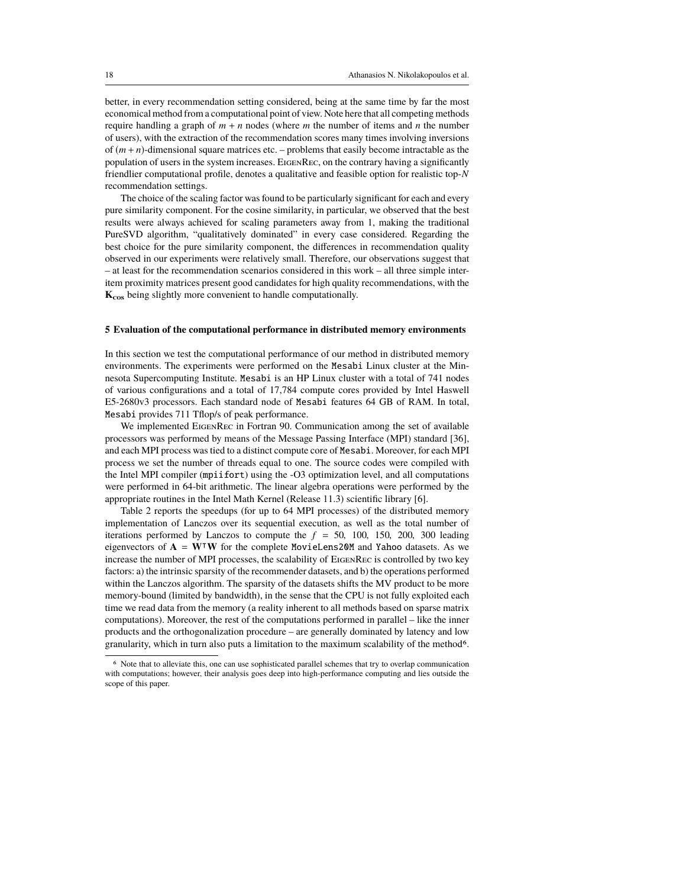better, in every recommendation setting considered, being at the same time by far the most economical method from a computational point of view. Note here that all competing methods require handling a graph of  $m + n$  nodes (where  $m$  the number of items and  $n$  the number of users), with the extraction of the recommendation scores many times involving inversions of (*m* + *n*)-dimensional square matrices etc. – problems that easily become intractable as the population of users in the system increases. EigenRec, on the contrary having a significantly friendlier computational profile, denotes a qualitative and feasible option for realistic top-*N* recommendation settings.

The choice of the scaling factor was found to be particularly significant for each and every pure similarity component. For the cosine similarity, in particular, we observed that the best results were always achieved for scaling parameters away from 1, making the traditional PureSVD algorithm, "qualitatively dominated" in every case considered. Regarding the best choice for the pure similarity component, the differences in recommendation quality observed in our experiments were relatively small. Therefore, our observations suggest that – at least for the recommendation scenarios considered in this work – all three simple interitem proximity matrices present good candidates for high quality recommendations, with the **Kcos** being slightly more convenient to handle computationally.

#### **5 Evaluation of the computational performance in distributed memory environments**

In this section we test the computational performance of our method in distributed memory environments. The experiments were performed on the Mesabi Linux cluster at the Minnesota Supercomputing Institute. Mesabi is an HP Linux cluster with a total of 741 nodes of various configurations and a total of 17,784 compute cores provided by Intel Haswell E5-2680v3 processors. Each standard node of Mesabi features 64 GB of RAM. In total, Mesabi provides 711 Tflop/s of peak performance.

We implemented EigenRec in Fortran 90. Communication among the set of available processors was performed by means of the Message Passing Interface (MPI) standard [36], and each MPI process was tied to a distinct compute core of Mesabi. Moreover, for each MPI process we set the number of threads equal to one. The source codes were compiled with the Intel MPI compiler (mpiifort) using the -O3 optimization level, and all computations were performed in 64-bit arithmetic. The linear algebra operations were performed by the appropriate routines in the Intel Math Kernel (Release 11.3) scientific library [6].

Table 2 reports the speedups (for up to 64 MPI processes) of the distributed memory implementation of Lanczos over its sequential execution, as well as the total number of iterations performed by Lanczos to compute the  $f = 50$ , 100, 150, 200, 300 leading eigenvectors of  $A = W^{\dagger}W$  for the complete MovieLens20M and Yahoo datasets. As we increase the number of MPI processes, the scalability of EigenRec is controlled by two key factors: a) the intrinsic sparsity of the recommender datasets, and b) the operations performed within the Lanczos algorithm. The sparsity of the datasets shifts the MV product to be more memory-bound (limited by bandwidth), in the sense that the CPU is not fully exploited each time we read data from the memory (a reality inherent to all methods based on sparse matrix computations). Moreover, the rest of the computations performed in parallel – like the inner products and the orthogonalization procedure – are generally dominated by latency and low granularity, which in turn also puts a limitation to the maximum scalability of the method6.

<sup>6</sup> Note that to alleviate this, one can use sophisticated parallel schemes that try to overlap communication with computations; however, their analysis goes deep into high-performance computing and lies outside the scope of this paper.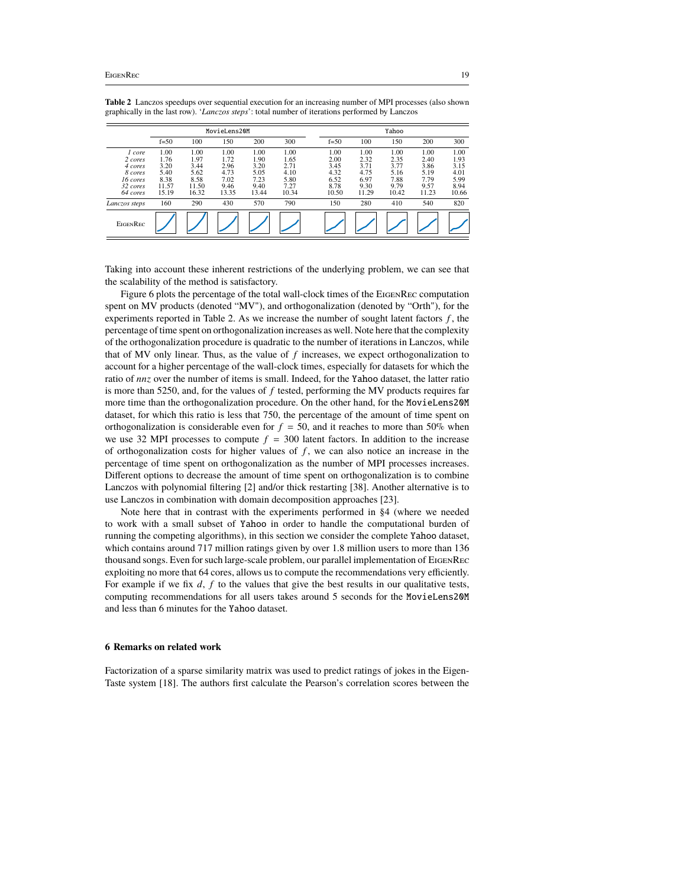|                                                                             | MovieLens20M                                           |                                                        |                                                       |                                                       | Yahoo                                                 |                                                       |                                                       |                                                       |                                                       |                                                       |
|-----------------------------------------------------------------------------|--------------------------------------------------------|--------------------------------------------------------|-------------------------------------------------------|-------------------------------------------------------|-------------------------------------------------------|-------------------------------------------------------|-------------------------------------------------------|-------------------------------------------------------|-------------------------------------------------------|-------------------------------------------------------|
|                                                                             | $f=50$                                                 | 100                                                    | 150                                                   | 200                                                   | 300                                                   | $f=50$                                                | 100                                                   | 150                                                   | 200                                                   | 300                                                   |
| 1 core<br>2 cores<br>4 cores<br>8 cores<br>16 cores<br>32 cores<br>64 cores | 1.00<br>1.76<br>3.20<br>5.40<br>8.38<br>11.57<br>15.19 | 1.00<br>1.97<br>3.44<br>5.62<br>8.58<br>11.50<br>16.32 | 1.00<br>1.72<br>2.96<br>4.73<br>7.02<br>9.46<br>13.35 | 1.00<br>1.90<br>3.20<br>5.05<br>7.23<br>9.40<br>13.44 | 1.00<br>1.65<br>2.71<br>4.10<br>5.80<br>7.27<br>10.34 | 1.00<br>2.00<br>3.45<br>4.32<br>6.52<br>8.78<br>10.50 | 1.00<br>2.32<br>3.71<br>4.75<br>6.97<br>9.30<br>11.29 | 1.00<br>2.35<br>3.77<br>5.16<br>7.88<br>9.79<br>10.42 | 1.00<br>2.40<br>3.86<br>5.19<br>7.79<br>9.57<br>11.23 | 1.00<br>1.93<br>3.15<br>4.01<br>5.99<br>8.94<br>10.66 |
| Lanczos steps                                                               | 160                                                    | 290                                                    | 430                                                   | 570                                                   | 790                                                   | 150                                                   | 280                                                   | 410                                                   | 540                                                   | 820                                                   |
| <b>EIGENREC</b>                                                             |                                                        |                                                        |                                                       |                                                       |                                                       |                                                       |                                                       |                                                       |                                                       |                                                       |

**Table 2** Lanczos speedups over sequential execution for an increasing number of MPI processes (also shown graphically in the last row). '*Lanczos steps*': total number of iterations performed by Lanczos

Taking into account these inherent restrictions of the underlying problem, we can see that the scalability of the method is satisfactory.

Figure 6 plots the percentage of the total wall-clock times of the EigenRec computation spent on MV products (denoted "MV"), and orthogonalization (denoted by "Orth"), for the experiments reported in Table 2. As we increase the number of sought latent factors  $f$ , the percentage of time spent on orthogonalization increases as well. Note here that the complexity of the orthogonalization procedure is quadratic to the number of iterations in Lanczos, while that of MV only linear. Thus, as the value of *f* increases, we expect orthogonalization to account for a higher percentage of the wall-clock times, especially for datasets for which the ratio of *nnz* over the number of items is small. Indeed, for the Yahoo dataset, the latter ratio is more than 5250, and, for the values of *f* tested, performing the MV products requires far more time than the orthogonalization procedure. On the other hand, for the MovieLens20M dataset, for which this ratio is less that 750, the percentage of the amount of time spent on orthogonalization is considerable even for  $f = 50$ , and it reaches to more than 50% when we use 32 MPI processes to compute  $f = 300$  latent factors. In addition to the increase of orthogonalization costs for higher values of *f* , we can also notice an increase in the percentage of time spent on orthogonalization as the number of MPI processes increases. Different options to decrease the amount of time spent on orthogonalization is to combine Lanczos with polynomial filtering [2] and/or thick restarting [38]. Another alternative is to use Lanczos in combination with domain decomposition approaches [23].

Note here that in contrast with the experiments performed in §4 (where we needed to work with a small subset of Yahoo in order to handle the computational burden of running the competing algorithms), in this section we consider the complete Yahoo dataset, which contains around 717 million ratings given by over 1.8 million users to more than 136 thousand songs. Even for such large-scale problem, our parallel implementation of EigenRec exploiting no more that 64 cores, allows us to compute the recommendations very efficiently. For example if we fix *d*, *f* to the values that give the best results in our qualitative tests, computing recommendations for all users takes around 5 seconds for the MovieLens20M and less than 6 minutes for the Yahoo dataset.

# **6 Remarks on related work**

Factorization of a sparse similarity matrix was used to predict ratings of jokes in the Eigen-Taste system [18]. The authors first calculate the Pearson's correlation scores between the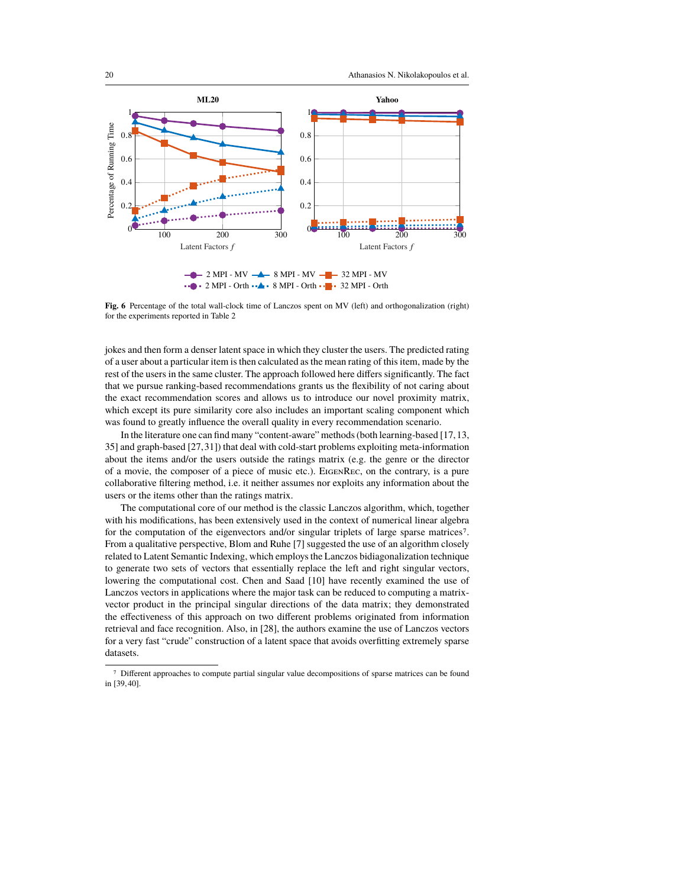

**Fig. 6** Percentage of the total wall-clock time of Lanczos spent on MV (left) and orthogonalization (right) for the experiments reported in Table 2

jokes and then form a denser latent space in which they cluster the users. The predicted rating of a user about a particular item is then calculated as the mean rating of this item, made by the rest of the users in the same cluster. The approach followed here differs significantly. The fact that we pursue ranking-based recommendations grants us the flexibility of not caring about the exact recommendation scores and allows us to introduce our novel proximity matrix, which except its pure similarity core also includes an important scaling component which was found to greatly influence the overall quality in every recommendation scenario.

In the literature one can find many "content-aware" methods (both learning-based [17, 13, 35] and graph-based [27, 31]) that deal with cold-start problems exploiting meta-information about the items and/or the users outside the ratings matrix (e.g. the genre or the director of a movie, the composer of a piece of music etc.). EigenRec, on the contrary, is a pure collaborative filtering method, i.e. it neither assumes nor exploits any information about the users or the items other than the ratings matrix.

The computational core of our method is the classic Lanczos algorithm, which, together with his modifications, has been extensively used in the context of numerical linear algebra for the computation of the eigenvectors and/or singular triplets of large sparse matrices7. From a qualitative perspective, Blom and Ruhe [7] suggested the use of an algorithm closely related to Latent Semantic Indexing, which employs the Lanczos bidiagonalization technique to generate two sets of vectors that essentially replace the left and right singular vectors, lowering the computational cost. Chen and Saad [10] have recently examined the use of Lanczos vectors in applications where the major task can be reduced to computing a matrixvector product in the principal singular directions of the data matrix; they demonstrated the effectiveness of this approach on two different problems originated from information retrieval and face recognition. Also, in [28], the authors examine the use of Lanczos vectors for a very fast "crude" construction of a latent space that avoids overfitting extremely sparse datasets.

<sup>7</sup> Different approaches to compute partial singular value decompositions of sparse matrices can be found in [39, 40].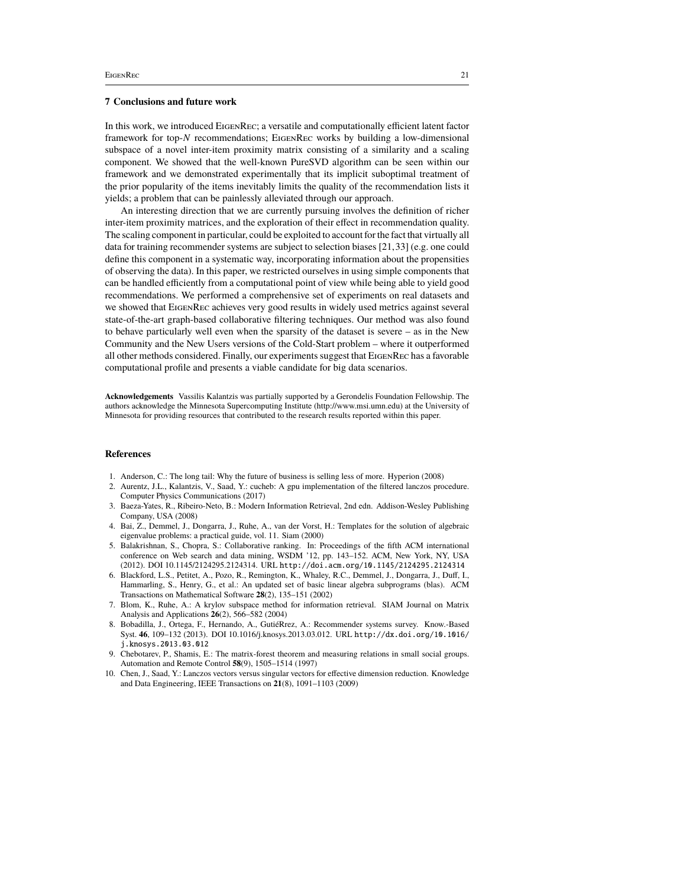#### **7 Conclusions and future work**

In this work, we introduced EigenRec; a versatile and computationally efficient latent factor framework for top-*N* recommendations; EigenRec works by building a low-dimensional subspace of a novel inter-item proximity matrix consisting of a similarity and a scaling component. We showed that the well-known PureSVD algorithm can be seen within our framework and we demonstrated experimentally that its implicit suboptimal treatment of the prior popularity of the items inevitably limits the quality of the recommendation lists it yields; a problem that can be painlessly alleviated through our approach.

An interesting direction that we are currently pursuing involves the definition of richer inter-item proximity matrices, and the exploration of their effect in recommendation quality. The scaling component in particular, could be exploited to account for the fact that virtually all data for training recommender systems are subject to selection biases [21, 33] (e.g. one could define this component in a systematic way, incorporating information about the propensities of observing the data). In this paper, we restricted ourselves in using simple components that can be handled efficiently from a computational point of view while being able to yield good recommendations. We performed a comprehensive set of experiments on real datasets and we showed that EigenRec achieves very good results in widely used metrics against several state-of-the-art graph-based collaborative filtering techniques. Our method was also found to behave particularly well even when the sparsity of the dataset is severe – as in the New Community and the New Users versions of the Cold-Start problem – where it outperformed all other methods considered. Finally, our experiments suggest that EigenRec has a favorable computational profile and presents a viable candidate for big data scenarios.

**Acknowledgements** Vassilis Kalantzis was partially supported by a Gerondelis Foundation Fellowship. The authors acknowledge the Minnesota Supercomputing Institute (http://www.msi.umn.edu) at the University of Minnesota for providing resources that contributed to the research results reported within this paper.

# **References**

- 1. Anderson, C.: The long tail: Why the future of business is selling less of more. Hyperion (2008)
- 2. Aurentz, J.L., Kalantzis, V., Saad, Y.: cucheb: A gpu implementation of the filtered lanczos procedure. Computer Physics Communications (2017)
- 3. Baeza-Yates, R., Ribeiro-Neto, B.: Modern Information Retrieval, 2nd edn. Addison-Wesley Publishing Company, USA (2008)
- 4. Bai, Z., Demmel, J., Dongarra, J., Ruhe, A., van der Vorst, H.: Templates for the solution of algebraic eigenvalue problems: a practical guide, vol. 11. Siam (2000)
- 5. Balakrishnan, S., Chopra, S.: Collaborative ranking. In: Proceedings of the fifth ACM international conference on Web search and data mining, WSDM '12, pp. 143–152. ACM, New York, NY, USA (2012). DOI 10.1145/2124295.2124314. URL http://doi.acm.org/10.1145/2124295.2124314
- 6. Blackford, L.S., Petitet, A., Pozo, R., Remington, K., Whaley, R.C., Demmel, J., Dongarra, J., Duff, I., Hammarling, S., Henry, G., et al.: An updated set of basic linear algebra subprograms (blas). ACM Transactions on Mathematical Software **28**(2), 135–151 (2002)
- 7. Blom, K., Ruhe, A.: A krylov subspace method for information retrieval. SIAM Journal on Matrix Analysis and Applications **26**(2), 566–582 (2004)
- 8. Bobadilla, J., Ortega, F., Hernando, A., GutiéRrez, A.: Recommender systems survey. Know.-Based Syst. **46**, 109–132 (2013). DOI 10.1016/j.knosys.2013.03.012. URL http://dx.doi.org/10.1016/ j.knosys.2013.03.012
- 9. Chebotarev, P., Shamis, E.: The matrix-forest theorem and measuring relations in small social groups. Automation and Remote Control **58**(9), 1505–1514 (1997)
- 10. Chen, J., Saad, Y.: Lanczos vectors versus singular vectors for effective dimension reduction. Knowledge and Data Engineering, IEEE Transactions on **21**(8), 1091–1103 (2009)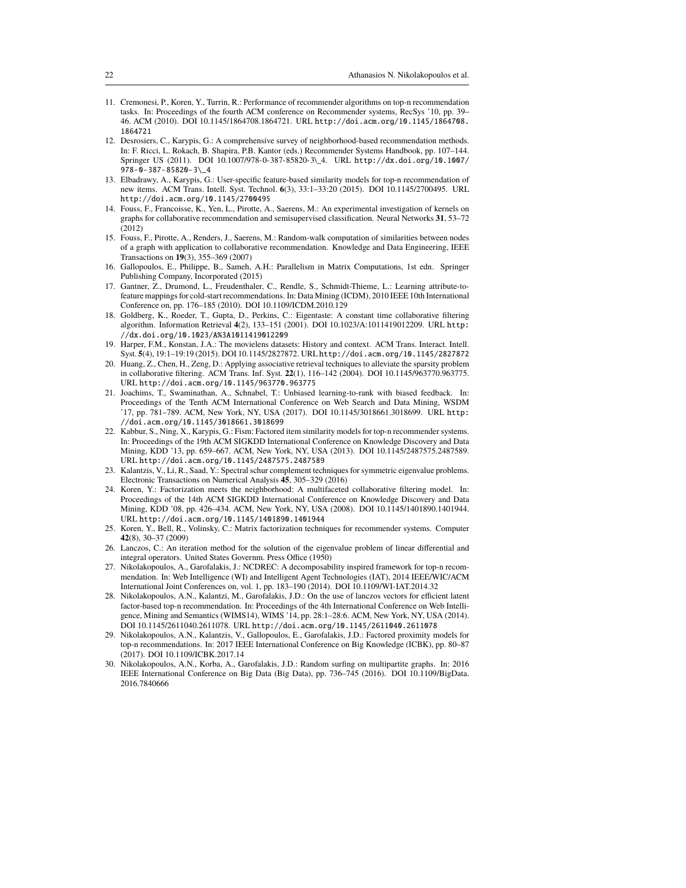- 11. Cremonesi, P., Koren, Y., Turrin, R.: Performance of recommender algorithms on top-n recommendation tasks. In: Proceedings of the fourth ACM conference on Recommender systems, RecSys '10, pp. 39-46. ACM (2010). DOI 10.1145/1864708.1864721. URL http://doi.acm.org/10.1145/1864708. 1864721
- 12. Desrosiers, C., Karypis, G.: A comprehensive survey of neighborhood-based recommendation methods. In: F. Ricci, L. Rokach, B. Shapira, P.B. Kantor (eds.) Recommender Systems Handbook, pp. 107–144. Springer US (2011). DOI 10.1007/978-0-387-85820-3\\_4. URL http://dx.doi.org/10.1007/ 978-0-387-85820-3\\_4
- 13. Elbadrawy, A., Karypis, G.: User-specific feature-based similarity models for top-n recommendation of new items. ACM Trans. Intell. Syst. Technol. **6**(3), 33:1–33:20 (2015). DOI 10.1145/2700495. URL http://doi.acm.org/10.1145/2700495
- 14. Fouss, F., Francoisse, K., Yen, L., Pirotte, A., Saerens, M.: An experimental investigation of kernels on graphs for collaborative recommendation and semisupervised classification. Neural Networks **31**, 53–72 (2012)
- 15. Fouss, F., Pirotte, A., Renders, J., Saerens, M.: Random-walk computation of similarities between nodes of a graph with application to collaborative recommendation. Knowledge and Data Engineering, IEEE Transactions on **19**(3), 355–369 (2007)
- 16. Gallopoulos, E., Philippe, B., Sameh, A.H.: Parallelism in Matrix Computations, 1st edn. Springer Publishing Company, Incorporated (2015)
- 17. Gantner, Z., Drumond, L., Freudenthaler, C., Rendle, S., Schmidt-Thieme, L.: Learning attribute-tofeature mappings for cold-start recommendations. In: Data Mining (ICDM), 2010 IEEE 10th International Conference on, pp. 176–185 (2010). DOI 10.1109/ICDM.2010.129
- 18. Goldberg, K., Roeder, T., Gupta, D., Perkins, C.: Eigentaste: A constant time collaborative filtering algorithm. Information Retrieval **4**(2), 133–151 (2001). DOI 10.1023/A:1011419012209. URL http: //dx.doi.org/10.1023/A%3A1011419012209
- 19. Harper, F.M., Konstan, J.A.: The movielens datasets: History and context. ACM Trans. Interact. Intell. Syst. **5**(4), 19:1–19:19 (2015). DOI 10.1145/2827872. URL http://doi.acm.org/10.1145/2827872
- 20. Huang, Z., Chen, H., Zeng, D.: Applying associative retrieval techniques to alleviate the sparsity problem in collaborative filtering. ACM Trans. Inf. Syst. **22**(1), 116–142 (2004). DOI 10.1145/963770.963775. URL http://doi.acm.org/10.1145/963770.963775
- 21. Joachims, T., Swaminathan, A., Schnabel, T.: Unbiased learning-to-rank with biased feedback. In: Proceedings of the Tenth ACM International Conference on Web Search and Data Mining, WSDM '17, pp. 781–789. ACM, New York, NY, USA (2017). DOI 10.1145/3018661.3018699. URL http: //doi.acm.org/10.1145/3018661.3018699
- 22. Kabbur, S., Ning, X., Karypis, G.: Fism: Factored item similarity models for top-n recommender systems. In: Proceedings of the 19th ACM SIGKDD International Conference on Knowledge Discovery and Data Mining, KDD '13, pp. 659–667. ACM, New York, NY, USA (2013). DOI 10.1145/2487575.2487589. URL http://doi.acm.org/10.1145/2487575.2487589
- 23. Kalantzis, V., Li, R., Saad, Y.: Spectral schur complement techniques for symmetric eigenvalue problems. Electronic Transactions on Numerical Analysis **45**, 305–329 (2016)
- 24. Koren, Y.: Factorization meets the neighborhood: A multifaceted collaborative filtering model. In: Proceedings of the 14th ACM SIGKDD International Conference on Knowledge Discovery and Data Mining, KDD '08, pp. 426–434. ACM, New York, NY, USA (2008). DOI 10.1145/1401890.1401944. URL http://doi.acm.org/10.1145/1401890.1401944
- 25. Koren, Y., Bell, R., Volinsky, C.: Matrix factorization techniques for recommender systems. Computer **42**(8), 30–37 (2009)
- 26. Lanczos, C.: An iteration method for the solution of the eigenvalue problem of linear differential and integral operators. United States Governm. Press Office (1950)
- 27. Nikolakopoulos, A., Garofalakis, J.: NCDREC: A decomposability inspired framework for top-n recommendation. In: Web Intelligence (WI) and Intelligent Agent Technologies (IAT), 2014 IEEE/WIC/ACM International Joint Conferences on, vol. 1, pp. 183–190 (2014). DOI 10.1109/WI-IAT.2014.32
- 28. Nikolakopoulos, A.N., Kalantzi, M., Garofalakis, J.D.: On the use of lanczos vectors for efficient latent factor-based top-n recommendation. In: Proceedings of the 4th International Conference on Web Intelligence, Mining and Semantics (WIMS14), WIMS '14, pp. 28:1–28:6. ACM, New York, NY, USA (2014). DOI 10.1145/2611040.2611078. URL http://doi.acm.org/10.1145/2611040.2611078
- 29. Nikolakopoulos, A.N., Kalantzis, V., Gallopoulos, E., Garofalakis, J.D.: Factored proximity models for top-n recommendations. In: 2017 IEEE International Conference on Big Knowledge (ICBK), pp. 80–87 (2017). DOI 10.1109/ICBK.2017.14
- 30. Nikolakopoulos, A.N., Korba, A., Garofalakis, J.D.: Random surfing on multipartite graphs. In: 2016 IEEE International Conference on Big Data (Big Data), pp. 736–745 (2016). DOI 10.1109/BigData. 2016.7840666